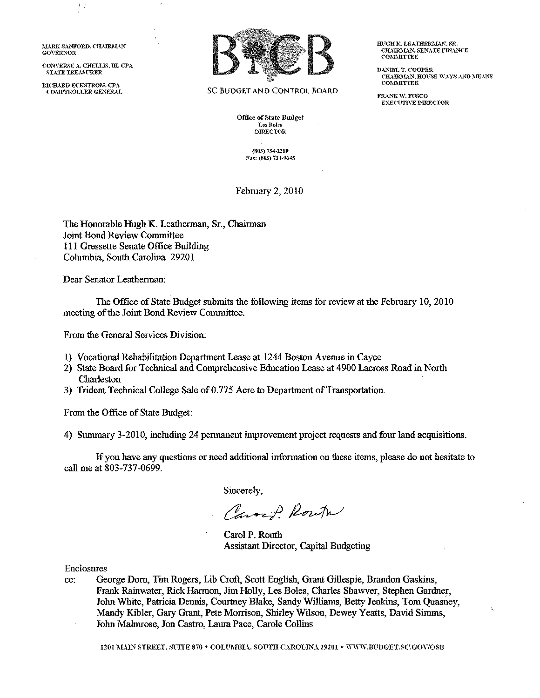**iLARK SANFORD. CHAIRMAN GOVERNOR** 

 $\frac{1}{2}$ 

**CONVERSE..\, CHELU.;;, m, CPA STATE TREASFRER** 

**RICHARD ECKSTROM, CPA** 



**SC BUDGET AND CONTROL BOARD** 

**Office of State Budget LesBI.lles DmECTOR** 

> **{803) 734-2280**  F:\X: **(803) 73-f-0645**

February 2, 2010

The Honorable Hugh K. Leatherman, Sr., Chairman Joint Bond Review Committee Ill Gressette Senate Office Building Columbia, South Carolina 29201

Dear Senator Leatherman:

The Office of State Budget submits the following items for review at the February 10, 2010 meeting of the Joint Bond Review Committee.

From the General Services Division:

- I) Vocational Rehabilitation Department Lease at 1244 Boston Avenue in Cayce
- 2) State Board for Technical and Comprehensive Education Lease at 4900 Lacross Road in North Charleston
- 3) Trident Teclmical College Sale of 0.775 Acre to Department of Transportation.

From the Office of State Budget:

4) Summary 3-2010, including 24 permanent improvement project requests and four land acquisitions.

If you have any questions or need additional information on these items, please do not hesitate to call me at 803-737-0699.

Sincerely,

Carry Route

Carol P. Routh Assistant Director, Capital Budgeting

Enclosures

cc: George Dorn, Tim Rogers, Lib Croft, Scott English, Grant Gillespie, Brandon Gaskins, Frank Rainwater, Rick Harmon, Jim Holly, Les Boles, Charles Shawver, Stephen Gardner, John White, Patricia Dennis, Courtney Blake, Sandy Williams, Betty Jenkins, Tom Quasney, Mandy Kibler, Gary Grant, Pete Morrison, Shirley Wilson, Dewey Yeatts, David Sinuns, John Malmrose, Jon Castro, Laura Pace, Carole Collins

1201 NAIN STREET, SUITE 870 • COLUMBIA, SOUTH CAROLINA 29201 • WWW.BUDGET.SC.GOV/OSB

**HUGHK. LEATHERMAN, SR. CHAIRMAN, SENATE FINANCE COl\ThllTTEE** 

**DANIEL T. COOPER CRURI\L-\N, HOFSE \\"AYS AND MEANS C'OI\Il\llTTEE** 

**FR-\NK W. FFSCO E:\:E('"(lTIYE DlRJ:<:CTOR**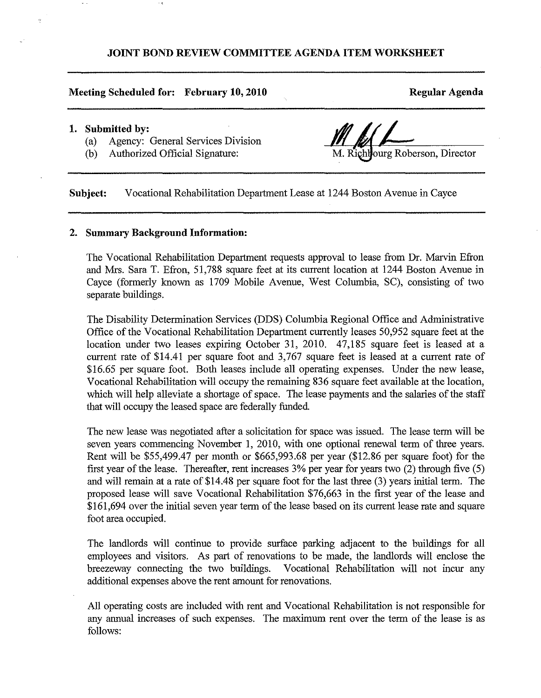## **JOINT BOND REVIEW COMMITTEE AGENDA ITEM WORKSHEET**

### **Meeting Scheduled for: February 10, 2010**

**Regular Agenda** 

### **1. Submitted by:**

 $\gamma$ 

- (a) Agency: General Services Division
- (b) Authorized Official Signature:

M. Richlourg Roberson, Director

**Subject:** Vocational Rehabilitation Department Lease at 1244 Boston Avenue in Cayce

### **2. Summary Background Information:**

The Vocational Rehabilitation Department requests approval to lease from Dr. Marvin Efron and Mrs. Sara T. Efron, 51,788 square feet at its current location at 1244 Boston Avenue in Cayce (formerly known as 1709 Mobile Avenue, West Columbia, SC), consisting of two separate buildings.

The Disability Determination Services (DDS) Columbia Regional Office and Administrative Office of the Vocational Rehabilitation Department currently leases 50,952 square feet at the location under two leases expiring October 31, 2010. 47,185 square feet is leased at a current rate of \$14.41 per square foot and 3,767 square feet is leased at a current rate of \$16.65 per square foot. Both leases include all operating expenses. Under the new lease, Vocational Rehabilitation will occupy the remaining 836 square feet available at the location, which will help alleviate a shortage of space. The lease payments and the salaries of the staff that will occupy the leased space are federally funded.

The new lease was negotiated after a solicitation for space was issued. The lease term will be seven years commencing November 1, 2010, witb one optional renewal term of three years. Rent will be \$55,499.47 per month or \$665,993.68 per year (\$12.86 per square foot) for tbe first year of the lease. Thereafter, rent increases 3% per year for years two (2) through five (5) and will remain at a rate of \$14.48 per square foot for the last three (3) years initial term. The proposed lease will save Vocational Rehabilitation \$76,663 in tbe first year of the lease and \$161,694 over the initial seven year term of the lease based on its current lease rate and square foot area occupied.

The landlords will continue to provide surface parking adjacent to tbe buildings for all employees and visitors. As part of renovations to be made, the landlords will enclose tbe breezeway connecting the two buildings. Vocational Rehabilitation will not incur any additional expenses above the rent amount for renovations.

All operating costs are included witb rent and Vocational Rehabilitation is not responsible for any annual increases of such expenses. The maximum rent over the term of the lease is as follows: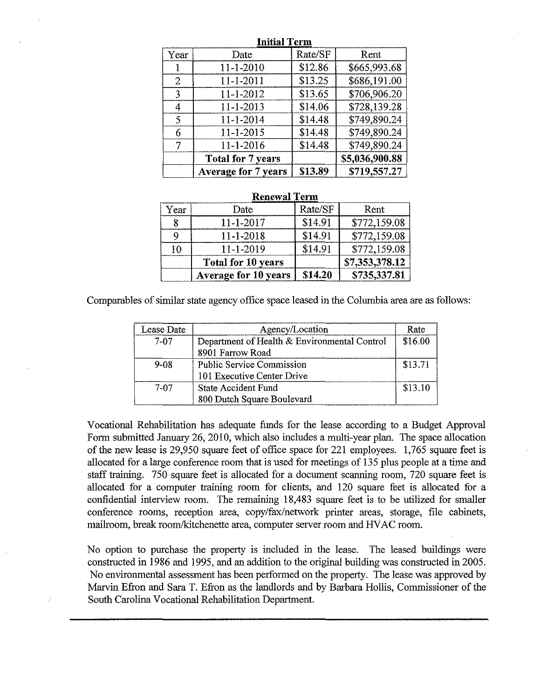|                | ппия гегш                  |         |                |  |  |  |  |
|----------------|----------------------------|---------|----------------|--|--|--|--|
| Year           | Date                       | Rate/SF | Rent           |  |  |  |  |
|                | $11 - 1 - 2010$            | \$12.86 | \$665,993.68   |  |  |  |  |
| $\overline{2}$ | $11 - 1 - 2011$            | \$13.25 | \$686,191.00   |  |  |  |  |
| 3              | 11-1-2012                  | \$13.65 | \$706,906.20   |  |  |  |  |
| 4              | 11-1-2013                  | \$14.06 | \$728.139.28   |  |  |  |  |
| 5              | 11-1-2014                  | \$14.48 | \$749,890.24   |  |  |  |  |
| 6              | $11 - 1 - 2015$            | \$14.48 | \$749,890.24   |  |  |  |  |
|                | 11-1-2016                  | \$14.48 | \$749,890.24   |  |  |  |  |
|                | <b>Total for 7 years</b>   |         | \$5,036,900.88 |  |  |  |  |
|                | <b>Average for 7 years</b> | \$13.89 | \$719,557.27   |  |  |  |  |

## **Initial Term**

|      | кепеwат тегш              |         |                |  |  |  |  |
|------|---------------------------|---------|----------------|--|--|--|--|
| Year | Date                      | Rate/SF | Rent           |  |  |  |  |
|      | $11 - 1 - 2017$           | \$14.91 | \$772,159.08   |  |  |  |  |
|      | $11 - 1 - 2018$           | \$14.91 | \$772,159.08   |  |  |  |  |
| 10   | 11-1-2019                 | \$14.91 | \$772,159.08   |  |  |  |  |
|      | <b>Total for 10 years</b> |         | \$7,353,378.12 |  |  |  |  |
|      | Average for 10 years      | \$14.20 | \$735,337.81   |  |  |  |  |

### **Renewal Term**

Com parables of similar state agency office space leased in the Columbia area are as follows:

| Lease Date | Agency/Location                              | Rate    |
|------------|----------------------------------------------|---------|
| 7-07       | Department of Health & Environmental Control | \$16.00 |
|            | 8901 Farrow Road                             |         |
| $9 - 08$   | <b>Public Service Commission</b>             | \$13.71 |
|            | 101 Executive Center Drive                   |         |
| 7-07       | <b>State Accident Fund</b>                   | \$13.10 |
|            | 800 Dutch Square Boulevard                   |         |

Vocational Rehabilitation has adequate funds for the lease according to a Budget Approval Form submitted January 26, 2010, which also includes a multi-year plan. The space allocation of the new lease is 29,950 square feet of office space for 221 employees. 1,765 square feet is allocated for a large conference room that is used for meetings of 135 plus people at a time and staff training. 750 square feet is allocated for a document scanning room, 720 square feet is allocated for a computer training room for clients, and 120 square feet is allocated for a confidential interview room. The remaining 18,483 square feet is to be utilized for smaller conference rooms, reception area, copy/fax/network printer areas, storage, file cabinets, mailroom, break room/kitchenette area, computer server room and HV AC room.

No option to purchase the property is included in the lease. The leased buildings were constructed in 1986 and 1995, and an addition to the original building was constructed in 2005. No environmental assessment has been performed on the property. The lease was approved by Marvin Efron and Sara T. Efron as the landlords and by Barbara Hollis, Commissioner of the South Carolina Vocational Rehabilitation Department.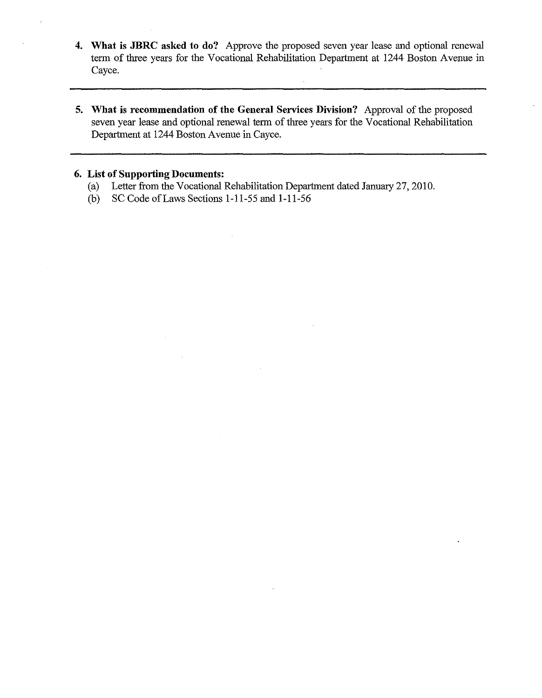- **4. What is JBRC asked to do?** Approve the proposed seven year lease and optional renewal term of three years for the Vocational Rehabilitation Department at 1244 Boston Avenue in Cayce.
- **5. What is recommendation of the General Services Division?** Approval of the proposed seven year lease and optional renewal term of three years for the Vocational Rehabilitation Department at 1244 Boston Avenue in Cayce.

## **6. List of Supporting Documents:**

- (a) Letter from the Vocational Rehabilitation Department dated January 27,2010.
- (b) SC Code of Laws Sections 1-11-55 and 1-11-56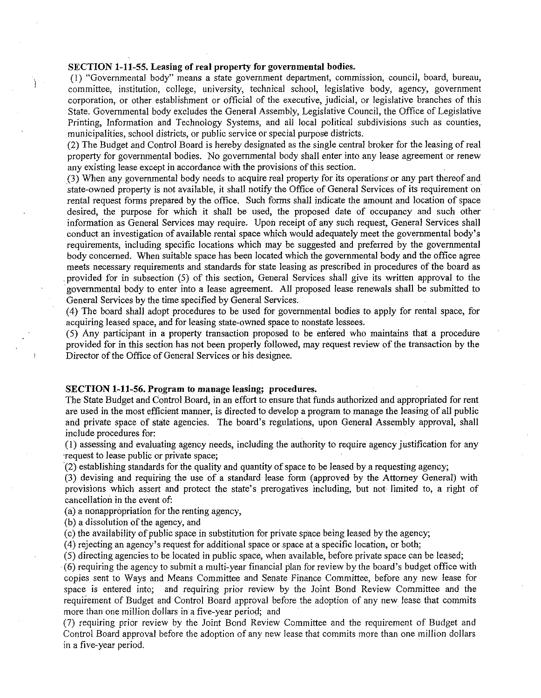### **SECTION 1-11-55. Leasing of real property for governmental bodies.**

Ì

( 1) "Governmental body" means a state government department, commission, council, board, bureau, committee, institution, college, university, technical school, legislative body, agency, government corporation, or other establishment or official of the executive, judicial, or legislative branches of this State. Governmental body excludes the General Assembly, Legislative Council, the Office of Legislative Printing, Information and Technology Systems, and all local political subdivisions such as counties, municipalities, school districts, or public service or special purpose districts.

(2) The Budget and Control Board is hereby designated as the single central broker for the leasing of real property for governmental bodies. No governmental body shall enter into any lease agreement or renew any existing lease except in accordance with the provisions of this section.

(3) When any governmental body needs to acquire real property for its operations· or any part thereof and state-owned property is not available, it shall notify the Office of General Services of its requirement on rental request forms prepared by the office. Such forms shall indicate the amount and location of space desired, the purpose for which it shall be used, the proposed date of occupancy and such other information as General Services may require. Upon receipt of any such request, General Services shall conduct an investigation of available rental space which would adequately meet the governmental body's requirements, including specific locations which may be suggested and preferred by the governmental body concerned. When suitable space has been located which the governmental body and the office agree meets necessary requirements and standards for state leasing as prescribed in procedures of the board as provided for in subsection (5) of this section, General Services shall give its written approval to the goverrunental body to enter into a lease agreement. All proposed lease renewals shall be submitted to General Services by the time specified by General Services.

( 4) The board shall adopt procedures to be used for governmental bodies to apply for rental space, for acquiring leased space, and for leasing state-owned space to nonstate lessees.

( 5) Any participant in a property transaction proposed to be entered who maintains that a procedure provided for in this section has not been properly followed, may request review of the transaction by the Director of the Office of General Services or his designee.

### **SECTION 1-11-56. Program to manage leasing; procedures.**

The State Budget and Control Board, in an effort to ensure that funds authorized and appropriated for rent are used in the most efficient manner, is directed to develop a program to manage the leasing of all public and private space of state agencies. The board's regulations, upon General Assembly approval, shall include procedures for:

(1) assessing and evaluating agency needs, including the authority to require agency justification for any Tequest to lease public or private space;

(2) establishing standards for the quality and quantity of space to be leased by a requesting agency;

(3) devising and requiring the use of a standard lease form (approved by the Attorney General) with provisions which assert and protect the state's prerogatives including, but not limited to, a right of cancellation in the event of:

(a) a nonappropriation for the renting agency,

(b) a dissolution of the agency, and

(c) the availability of public space in substitution for private space being leased by the agency;

(4) rejecting an agency's request for additional space or space at a specific location, or both;

(5) directing agencies to be located in public space, when available, before private space can be leased;

· (6) requiring the agency to submit a multi-year financial plan for review by the board's budget office with copies sent to Ways and Means Committee and Senate Finance Committee, before any new lease for space is entered into; and requiring prior review by the Joint Bond Review Committee and the requirement of Budget and Control Board approval before the adoption of any new lease that commits more than one million dollars in a five-year period; and

(7) requiring prior review by the Joint Bond Review Committee and the requirement of Budget and Control Board approval before the adoption of any new lease that commits more than one million dollars in a five-year period.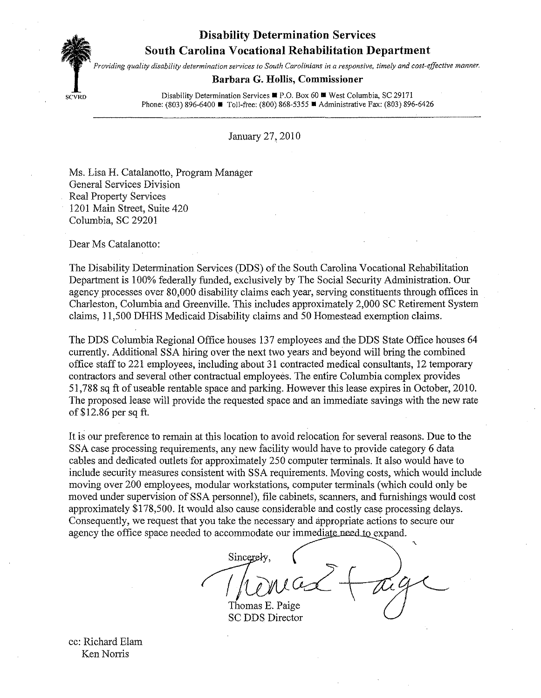**Disability Determination Services** 

# **South Carolina Vocational Rehabilitation Department**



*Providing quality disability determination services to South Carolinians in a responsive, timely and cost-effective manner.* 

## **Barbara G. Hollis, Commissioner**

SCVRD **Disability Determination Services ■ P.O. Box 60 ■ West Columbia, SC 29171** Phone: (803) 896-6400 ■ Toll-free: (800) 868-5355 ■ Administrative Fax: (803) 896-6426

January 27,2010

Ms. Lisa H. Catalanotto, Program Manager General Services Division Real Property Services 1201 Main Street, Suite 420 Columbia, SC 29201

Dear Ms Catalanotto:

The Disability Determination Services (DDS) of the South Carolina Vocational Rehabilitation Department is 100% federally funded, exclusively by The Social Security Administration. Our agency processes over 80,000 disability claims each year, serving constituents through offices in Charleston, Columbia and Greenville. This includes approximately 2,000 SC Retirement System claims, 11,500 DHHS Medicaid Disability claims and 50 Homestead exemption claims.

The DDS Columbia Regional Office houses 137 employees and the DDS State Office houses 64 currently. Additional SSA hiring over the next two years and beyond will bring the combined office staff to 221 employees, including about 31 contracted medical consultants, 12 temporary contractors and several other contractual employees. The entire Columbia complex provides 51,788 sq ft of useable rentable space and parking. However this lease expires in October, 2010. The proposed lease will provide the requested space and an immediate savings with the new rate of\$12.86 per sq ft.

It is our preference to remain at tbis location to avoid relocation for several reasons. Due to the SSA case processing requirements, any new facility would have to provide category 6 data cables and dedicated outlets for approximately 250 computer terminals. It also would have to include security measures consistent witb SSA requirements. Moving costs, which would include moving over 200 employees, modular workstations, computer terminals (which could only be moved under supervision of SSA personnel), file cabinets, scarmers, and furnishings would cost approximately \$178,500. It would also cause considerable and costly case processing delays. Consequently, we request that you take the necessary and appropriate actions to secure our agency the office space needed to accommodate our immediate need to expand.

Sincerely,  $i\mu$ 

Thomas E. Paige<br>SC DDS Director

cc: Richard Elam Ken Norris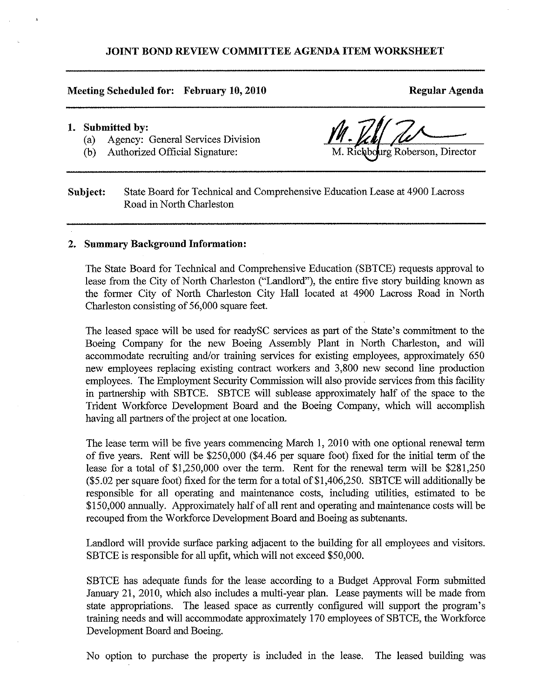## **JOINT BOND REVIEW COMMITTEE AGENDA ITEM WORKSHEET**

### **Meeting Scheduled for: February 10, 2010**

**Regular Agenda** 

### **1. Submitted by:**

- (a) Agency: General Services Division
- (b) Authorized Official Signature:

Richbourg Roberson, Director

**Subject:** State Board for Technical and Comprehensive Education Lease at 4900 Lacross Road in North Charleston

### **2. Summary Background Information:**

The State Board for Technical and Comprehensive Education (SBTCE) requests approval to lease from the City of North Charleston ("Landlord"), the entire five story building known as the former City of North Charleston City Hall located at 4900 Lacross Road in North Charleston consisting of 56,000 square feet.

The leased space will be used for readySC services as part of the State's commitment to the Boeing Company for the new Boeing Assembly Plant in North Charleston, and will accommodate recruiting and/or training services for existing employees, approximately 650 new employees replacing existing contract workers and 3,800 new second line production employees. The Employment Security Commission will also provide services from this facility in partnership with SBTCE. SBTCE will sublease approximately half of the space to the Trident Workforce Development Board and the Boeing Company, which will accomplish having all partners of the project at one location.

The lease term will be five years commencing March l, 2010 with one optional renewal term of five years. Rent will be \$250,000 (\$4.46 per square foot) fixed for the initial term of the lease for a total of \$1,250,000 over the term. Rent for the renewal term will be \$281,250 (\$5.02 per square foot) fixed for the term for a total of \$1,406,250. SBTCE will additionally be responsible for all operating and maintenance costs, including utilities, estimated to be \$150,000 annually. Approximately half of all rent and operating and maintenance costs will be recouped from the Workforce Development Board and Boeing as subtenants.

Landlord will provide surface parking adjacent to the building for all employees and visitors. SBTCE is responsible for all upfit, which will not exceed \$50,000.

SBTCE has adequate funds for the lease according to a Budget Approval Form submitted January 21, 2010, which also includes a multi-year plan. Lease payments will be made from state appropriations. The leased space as currently configured will support the program's training needs and will accommodate approximately 170 employees of SBTCE, the Workforce Development Board and Boeing.

No option to purchase the property is included in the lease. The leased building was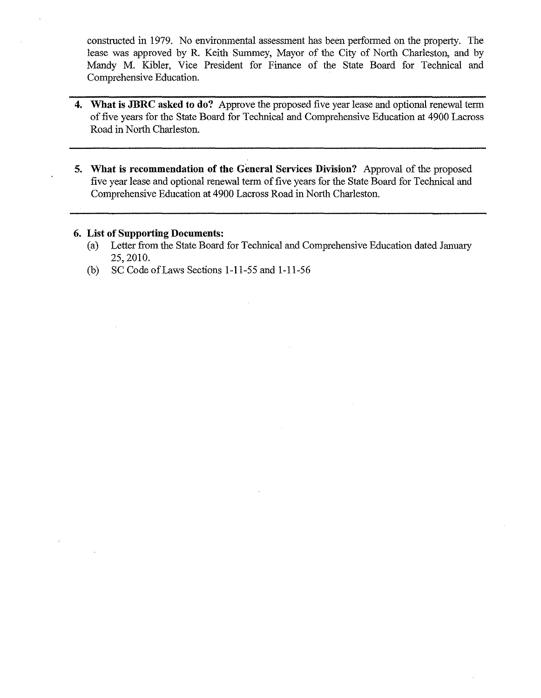constructed in 1979. No environmental assessment has been performed on the property. The lease was approved by R. Keith Summey, Mayor of the City of North Charleston, and by Mandy M. Kibler, Vice President for Finance of the State Board for Technical and Comprehensive Education.

- **4. What is JBRC asked to do?** Approve the proposed five year lease and optional renewal term of five years for the State Board for Technical and Comprehensive Education at 4900 Lacross Road in North Charleston.
- **5. What is recommendation of the General Services Division?** Approval of the proposed five year lease and optional renewal term of five years for the State Board for Technical and Comprehensive Education at 4900 Lacross Road in North Charleston.

## **6. List of Supporting Documents:**

- (a) Letter from the State Board for Technical and Comprehensive Education dated January 25,2010.
- (b) SC Code of Laws Sections 1-11-55 and 1-11-56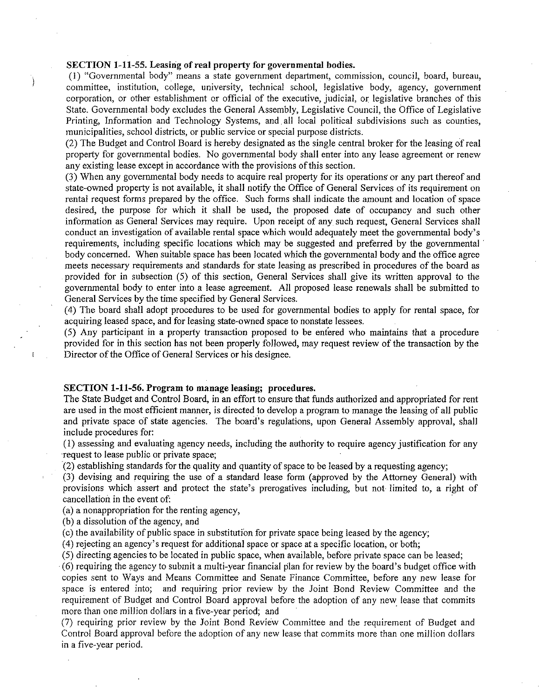## SECTION 1-11-55. Leasing of real property for governmental bodies.

Ì

 $\mathbf{I}$ 

( 1) "Governmental body" means a state government department, commission, council, board, bureau, committee, institution, college, university, technical school, legislative body, agency, government corporation, or other establishment or official of the executive, judicial, or legislative branches of this State. Governmental body excludes the General Assembly, Legislative Council, the Office of Legislative Printing, Information and Technology Systems, and all local political subdivisions such as counties, municipalities, school districts, or public service or special purpose districts.

(2) The Budget and Control Board is hereby designated as the single central broker for the leasing of real property for governmental bodies. No governmental body shall enter into any lease agreement or renew any existing lease except in accordance with the provisions of this section.

0) When any governmental body needs to acquire real property for its operations· or any part thereof and state-owned property is not available, it shall notify the Office of General Services of its requirement on rental request forms prepared by the office. Such forms shall indicate the amount and location of space desired, the purpose for which it shall be used, the proposed date of occupancy and such other information as General Services may require. Upon receipt of any such request, General Services shall conduct an investigation of available rental space which would adequately meet the governmental body's requirements, including specific locations which may be suggested and preferred by the governmental body concerned. When suitable space has been located which the governmental body and the office agree meets necessary requirements and standards for state leasing as prescribed in procedures of the board as provided for in subsection (5) of this section, General Services shall give its written approval to the governmental body to enter into a lease agreement. All proposed lease renewals shall be submitted to General Services by the time specified by General Services.

( 4) The board shall adopt procedures to be used for governmental bodies to apply for rental space, for acquiring leased space, and for leasing state-owned space to nonstate lessees.

(5) Any participant in a property transaction proposed to be entered who maintains that a procedure provided for in this section has not been properly followed, may request review of the transaction by the Director of the Office of General Services or his designee.

### SECTION 1-11-56. Program to manage leasing; procedures.

The State Budget and Control Board, in an effort to ensure that funds authorized and appropriated for rent are used in the most efficient manner, is directed to develop a program to manage the leasing of all public and private space of state agencies. The board's regulations, upon General Assembly approval, shall include procedures for:

(I) assessing and evaluating agency needs, including the authority to require agency justification for any Tequest to lease public or private space;

 $(2)$  establishing standards for the quality and quantity of space to be leased by a requesting agency;

(3) devising and requiring the use of a standard lease form (approved by the Attorney General) with provisions which assert and protect the state's prerogatives including, but not limited to, a right of cancellation in the event of:

(a) a nonappropriation for the renting agency,

(b) a dissolution of the agency, and

(c) the availability of public space in substitution for private space being leased by the agency;

(4) rejecting an agency's request for additional space or space at a specific location, or both;

(5) directing agencies to be located in public space, when available, before private space can be leased;

(6) requiring the agency to submit a multi-year financial plan for review by the board's budget office with copies sent to Ways and Means Committee and Senate Finance Committee, before any new lease for space is entered into; and requiring prior review by the Joint Bond Review Committee and the requirement of Budget and Control Board approval before the adoption of any new lease that commits more than one million dollars in a five-year period; and

(7) requiring prior review by the Joint Bond Review Committee and the requirement of Budget and Control Board approval before the adoption of any new lease that commits more than one million dollars in a five-year period.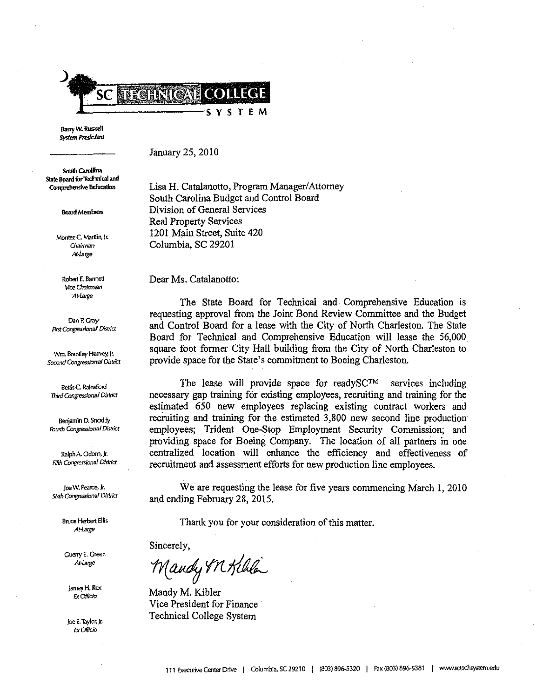

Barry W. Russell **System Presicient** 

January 25, 2010

South Carolina State Board for Technical and Comprehensive Eclucation

**Board Members** 

**Montez C.l'viartin, Jr.**  *Chairman*  Ar Large

**Robert E. Bamett Wce Chairman At-Large** 

**Dan P. Gray**  *Rrst Congressional District* 

**Wril. Brantley Harvey, Jr.. Second** *Congressional Disrlitt* 

**Bettis C Rainsford**  *Third Congressional District* 

**Benjamin D. Snoddy**  *Fourth Ccngressional* **District** 

Ralph A. Odom, Jr. **Fifth** *Congressional District* 

loe W. Pearce, Jr. *Sixth Congressional District* 

> **Bruce Herbert Ellis**  *A!-t.rge*

Guerry E. Green At large

jam~ **H. Rex**  *Ex* **Officio** 

**Joe E. Taylor, Jr.**  *Ex* Officio

Lisa H. Catalanotto, Program Manager/Attorney South Carolina Budget and Control Board Division of General Services Real Property Services 1201 Main Street, Suite 420 Columbia, SC 29201

Dear Ms, Catalanotto:

The State Board for Technical and. Comprehensive Education is requesting approval from the Joint Bond Review Committee and the Budget and Control Board for a lease with the City of North Charleston, The State Board for Technical and Comprehensive Education will lease the 56,000 square foot former City Hall building from the City of North Charleston to provide space for the State's commitment to Boeing Charleston.

The lease will provide space for readySC™ services including necessary gap training for existing employees, recruiting and training for the estimated 650 new employees replacing existing contract workers and recruiting and training for the estimated 3,800 new second line production employees; Trident One-Stop Employment Security Commission; and providing space for Boeing Company, The location of all partners in one centralized location will enhance the efficiency and effectiveness of recruitment and assessment efforts for new production line employees.

We are requesting the lease for five years commencing March 1, 2010 and ending February 28, 2015.

Thank you for your consideration of this matter.

Sincerely,

 $_{\text{Mandy}}$  on Killa

Mandy M. Kibler Vice President for Finance Technical College System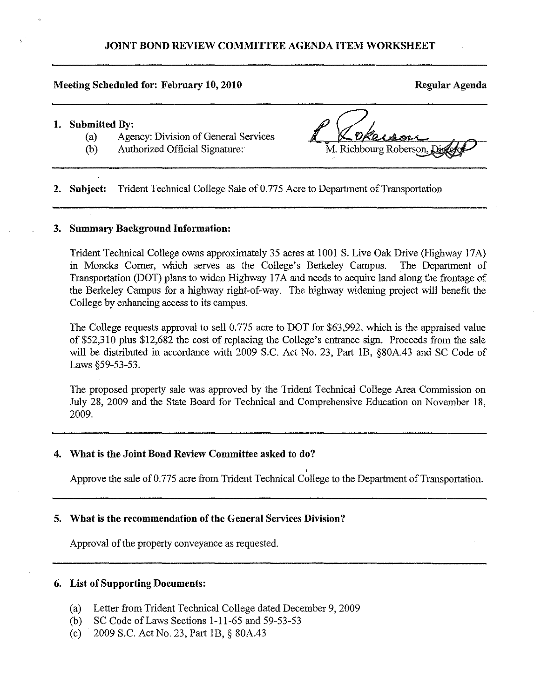### **Meeting Scheduled for: February 10, 2010** Regular Agenda **Regular Agenda**

### **1. Submitted By:**

- (a) Agency: Division of General Services
- (b) Authorized Official Signature:

M. Richbourg Roberson,

**2. Subject:** Trident Technical College Sale of 0.775 Acre to Department of Transportation

### **3. Summary Background Information:**

Trident Technical College owns approximately 35 acres at 1001 S. Live Oak Drive (Highway 17A) in Moncks Comer, which serves as the College's Berkeley Campus. The Department of Transportation (DOT) plans to widen Highway 17A and needs to acquire land along the frontage of the Berkeley Campus for a highway right-of-way. The highway widening project will benefit the College by enhancing access to its campus.

The College requests approval to sell 0.775 acre to DOT for \$63,992, which is the appraised value of \$52,310 plus \$12,682 the cost of replacing the College's entrance sign. Proceeds from the sale will be distributed in accordance with 2009 S.C. Act No. 23, Part lB, §80A.43 and SC Code of Laws §59-53-53.

The proposed property sale was approved by the Trident Technical College Area Commission on July 28, 2009 and the State Board for Technical and Comprehensive Education on November 18, 2009.

## **4. Wbat is the Joint Bond Review Committee asked to do?**

Approve the sale of 0.775 acre from Trident Technical College to the Department of Transportation.

## **5. What is the recommendation of the General Services Division?**

Approval of the property conveyance as requested.

## **6. List of Supporting Documents:**

- (a) Letter from Trident Technical College dated December 9, 2009
- (b) SC Code ofLaws Sections 1-11-65 and 59-53-53
- (c) 2009 S.C. Act No. 23, Part IB, § 80A.43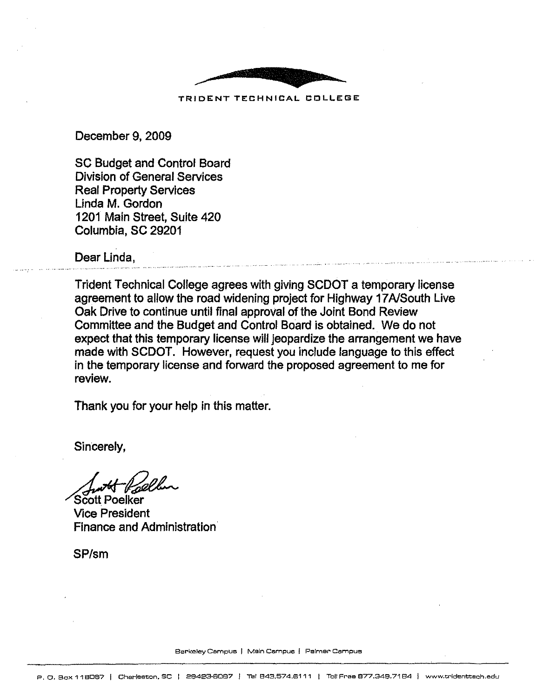

TRIDENT TECHNICAL COLLEGE:

December 9, 2009

SC Budget and Control Board Division of General Services Real Property Services Linda M. Gordon 1201 Main Street, Suite 420 Columbia, SC 29201

Dear Linda,

Trident Technical College agrees with giving SCOOT a temporary license agreement to allow the road widening project for Highway 17A/South Live Oak Drive to continue until final approval of the Joint Bond Review Committee and the Budget and Control Board is obtained. We do not expect that this temporary license will jeopardize the arrangement we have made with SCOOT. However, request you include language to this effect in the temporary license and forward the proposed agreement to me for review.

Thank you for your help in this matter.

Sincerely,

Scott Poelker Vice President Finance and Administration

SP/sm

Berkeley Campus I Ms!n Cempue I Palmer Campus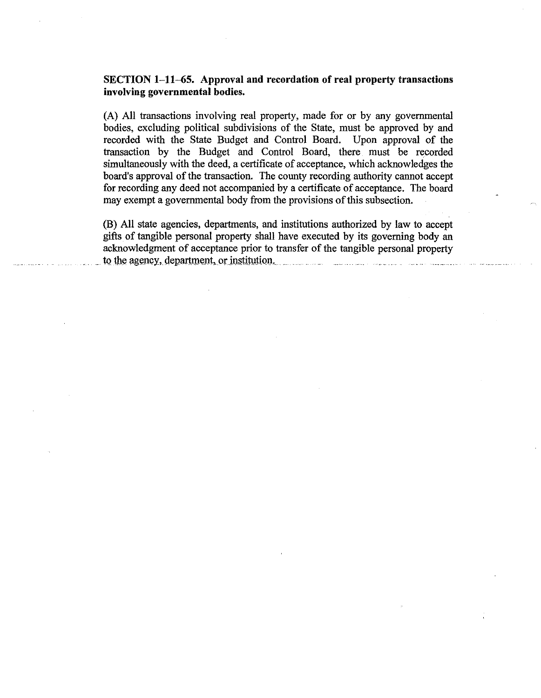## **SECTION 1-11-65.** Approval and recordation of real property transactions **involving governmental bodies.**

(A) All transactions involving real property, made for or by any govermnental bodies, excluding political subdivisions of the State, must be approved by and recorded with the State Budget and Control Board. Upon approval of the transaction by the Budget and Control Board, there must be recorded simultaneously with the deed, a certificate of acceptance, which acknowledges the board's approval of the transaction. The county recording authority cannot accept for recording any deed not accompanied by a certificate of acceptance. The board may exempt a govermnental body from the provisions of this subsection.

(B) All state agencies, departments, and institutions authorized by law to accept gifts of tangible personal property shall have executed by its governing body an acknowledgment of acceptance prior to transfer of the tangible personal property to the agency, department, or institution.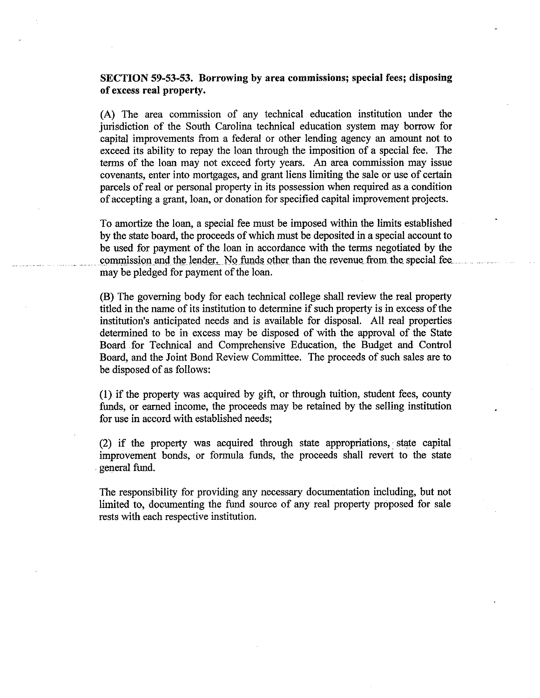## **SECTION 59-53-53. Borrowing by area commissions; special** fees; **disposing of** excess **real property.**

(A) The area commission of any technical education institution under the jurisdiction of the South Carolina technical education system may borrow for capital improvements from a federal or other lending agency an amount not to exceed its ability to repay the loan through the imposition of a special fee. The terms of the loan may not exceed forty years. An area commission may issue covenants, enter into mortgages, and grant liens limiting the sale or use of certain parcels of real or personal property in its possession when required as a condition of accepting a grant, loan, or donation for specified capital improvement projects.

To amortize the loan, a special fee must be imposed within the limits established by the state board, the proceeds of which must be deposited in a special account to be used for payment of the loan in accordance with the terms negotiated by the commission and the lender. No funds other than the revenue from the special fee. may be pledged for payment of the loan.

(B) The governing body for each technical college shall review the real property titled in the name of its institution to determine if such property is in excess of the institution's anticipated needs and is available for disposal. All real properties determined to be in excess may be disposed of with the approval of the State Board for Technical and Comprehensive Education, the Budget and Control Board, and the Joint Bond Review Committee. The proceeds of such sales are to be disposed of as follows:

**(1)** if the property was acquired by gift, or through tuition, student fees, county funds, or earned income, the proceeds may be retained by the selling institution for use in accord with established needs;

(2) if the property was acquired through state appropriations, • state capital improvement bonds, or formula funds, the proceeds shall revert to the state . general fund.

The responsibility for providing any necessary documentation including, but not limited to, documenting the fund source of any real property proposed for sale rests with each respective institution.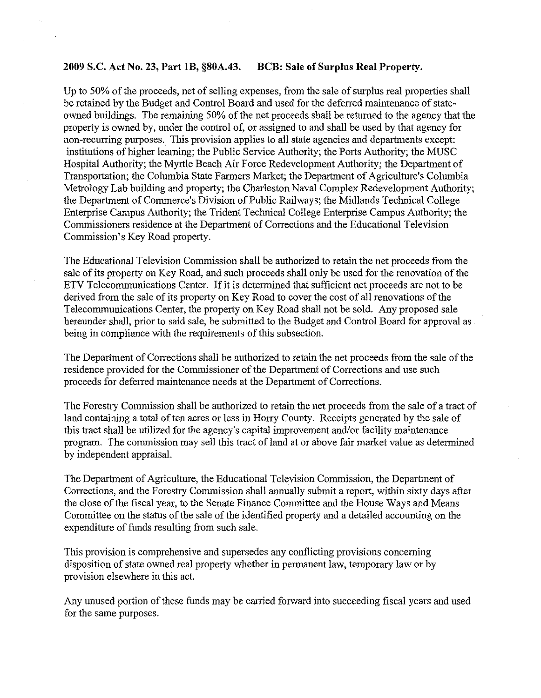### **2009** S.C. **Act** No. 23, **Part IB, §80A.43. BCB: Sale of Surplus Real Property.**

Up to 50% of the proceeds, net of selling expenses, from the sale of surplus real properties shall be retained by the Budget and Control Board and used for the deferred maintenance of stateowned buildings. The remaining 50% of the net proceeds shall be returned to the agency that the property is owned by, under the control of, or assigned to and shall be used by that agency for non-recurring purposes. This provision applies to all state agencies and departments except: institutions of higher learning; the Public Service Authority; the Ports Authority; the MUSC Hospital Authority; the Myrtle Beach Air Force Redevelopment Authority; the Department of Transportation; the Columbia State Farmers Market; the Department of Agriculture's Columbia Metrology Lab building and property; the Charleston Naval Complex Redevelopment Authority; the Department of Commerce's Division of Public Railways; the Midlands Technical College Enterprise Campus Authority; the Trident Technical College Enterprise Campus Authority; the Commissioners residence at the Department of Corrections and the Educational Television Commission's Key Road property.

The Educational Television Commission shall be authorized to retain the net proceeds from the sale of its property on Key Road, and such proceeds shall only be used for the renovation of the ETV Telecommunications Center. If it is determined that sufficient net proceeds are not to be derived from the sale of its property on Key Road to cover the cost of all renovations of the Telecommunications Center, the property on Key Road shall not be sold. Any proposed sale hereunder shall, prior to said sale, be submitted to the Budget and Control Board for approval as . being in compliance with the requirements of this subsection.

The Department of Corrections shall be authorized to retain the net proceeds from the sale of the residence provided for the Commissioner of the Department of Corrections and use such proceeds for deferred maintenance needs at the Department of Corrections.

The Forestry Commission shall be authorized to retain the net proceeds from the sale of a tract of land containing a total of ten acres or less in Horry County. Receipts generated by the sale of this tract shall be utilized for the agency's capital improvement and/or facility maintenance program. The commission may sell this tract of land at or above fair market value as determined by independent appraisaL

The Department of Agriculture, the Educational Television Commission, the Department of Corrections, and the Forestry Commission shall annually submit a report, within sixty days after the close of the fiscal year, to the Senate Finance Committee and the House Ways and Means Committee on the status of the sale of the identified property and a detailed accounting on the expenditure of funds resulting from such sale.

This provision is comprehensive and supersedes any conflicting provisions concerning disposition of state owned real property whether in permanent law, temporary law or by provision elsewhere in this act.

Any unused portion of these funds may be carried forward into succeeding fiscal years and used for the same purposes.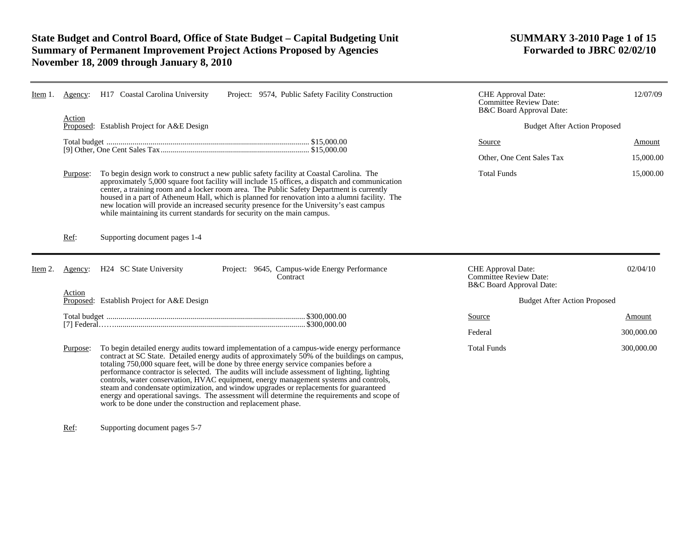# **State Budget and Control Board, Office of State Budget – Capital Budgeting Unit SUMMARY 3-2010 Page 1 of 15 Summary of Permanent Improvement Project Actions Proposed by Agencies November 18, 2009 through January 8, 2010**

| Item 1.  | Agency:<br>Action | H17 Coastal Carolina University<br>Project: 9574, Public Safety Facility Construction                                                                                                                                                                                                                                                                                                                                                                                                                                                                                                                                                                                                                                                 | CHE Approval Date:<br><b>Committee Review Date:</b><br>B&C Board Approval Date: | 12/07/09   |
|----------|-------------------|---------------------------------------------------------------------------------------------------------------------------------------------------------------------------------------------------------------------------------------------------------------------------------------------------------------------------------------------------------------------------------------------------------------------------------------------------------------------------------------------------------------------------------------------------------------------------------------------------------------------------------------------------------------------------------------------------------------------------------------|---------------------------------------------------------------------------------|------------|
|          |                   | Proposed: Establish Project for A&E Design                                                                                                                                                                                                                                                                                                                                                                                                                                                                                                                                                                                                                                                                                            | <b>Budget After Action Proposed</b>                                             |            |
|          |                   |                                                                                                                                                                                                                                                                                                                                                                                                                                                                                                                                                                                                                                                                                                                                       | <b>Source</b>                                                                   | Amount     |
|          |                   |                                                                                                                                                                                                                                                                                                                                                                                                                                                                                                                                                                                                                                                                                                                                       | Other, One Cent Sales Tax                                                       | 15,000.00  |
|          | Purpose:          | To begin design work to construct a new public safety facility at Coastal Carolina. The<br>approximately 5,000 square foot facility will include 15 offices, a dispatch and communication<br>center, a training room and a locker room area. The Public Safety Department is currently<br>housed in a part of Atheneum Hall, which is planned for renovation into a alumni facility. The<br>new location will provide an increased security presence for the University's east campus<br>while maintaining its current standards for security on the main campus.                                                                                                                                                                     | <b>Total Funds</b>                                                              | 15,000.00  |
|          | Ref:              | Supporting document pages 1-4                                                                                                                                                                                                                                                                                                                                                                                                                                                                                                                                                                                                                                                                                                         |                                                                                 |            |
| Item $2$ | Agency:           | H24 SC State University<br>Project: 9645, Campus-wide Energy Performance<br>Contract                                                                                                                                                                                                                                                                                                                                                                                                                                                                                                                                                                                                                                                  | CHE Approval Date:<br>Committee Review Date:<br>B&C Board Approval Date:        | 02/04/10   |
|          | Action            | Proposed: Establish Project for A&E Design                                                                                                                                                                                                                                                                                                                                                                                                                                                                                                                                                                                                                                                                                            | <b>Budget After Action Proposed</b>                                             |            |
|          |                   |                                                                                                                                                                                                                                                                                                                                                                                                                                                                                                                                                                                                                                                                                                                                       | Source                                                                          | Amount     |
|          |                   |                                                                                                                                                                                                                                                                                                                                                                                                                                                                                                                                                                                                                                                                                                                                       | Federal                                                                         | 300,000.00 |
|          | Purpose:          | To begin detailed energy audits toward implementation of a campus-wide energy performance<br>contract at SC State. Detailed energy audits of approximately 50% of the buildings on campus,<br>totaling 750,000 square feet, will be done by three energy service companies before a<br>performance contractor is selected. The audits will include assessment of lighting, lighting<br>controls, water conservation, HVAC equipment, energy management systems and controls,<br>steam and condensate optimization, and window upgrades or replacements for guaranteed<br>energy and operational savings. The assessment will determine the requirements and scope of<br>work to be done under the construction and replacement phase. | <b>Total Funds</b>                                                              | 300,000.00 |

Ref: Supporting document pages 5-7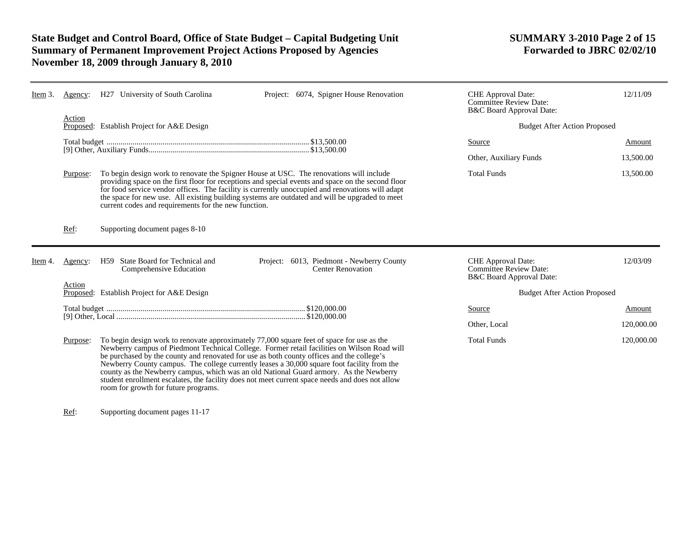# **State Budget and Control Board, Office of State Budget – Capital Budgeting Unit SUMMARY 3-2010 Page 2 of 15 Summary of Permanent Improvement Project Actions Proposed by Agencies November 18, 2009 through January 8, 2010**

| Item $3$ | Agency:  | H27 University of South Carolina                                                                                                                                                                                                                                                                                         | Project: 6074, Spigner House Renovation                                                                                                                                                                                                                                                                  | <b>CHE</b> Approval Date:<br><b>Committee Review Date:</b><br>B&C Board Approval Date: | 12/11/09   |
|----------|----------|--------------------------------------------------------------------------------------------------------------------------------------------------------------------------------------------------------------------------------------------------------------------------------------------------------------------------|----------------------------------------------------------------------------------------------------------------------------------------------------------------------------------------------------------------------------------------------------------------------------------------------------------|----------------------------------------------------------------------------------------|------------|
|          | Action   | Proposed: Establish Project for A&E Design                                                                                                                                                                                                                                                                               |                                                                                                                                                                                                                                                                                                          | <b>Budget After Action Proposed</b>                                                    |            |
|          |          |                                                                                                                                                                                                                                                                                                                          |                                                                                                                                                                                                                                                                                                          | Source                                                                                 | Amount     |
|          |          |                                                                                                                                                                                                                                                                                                                          |                                                                                                                                                                                                                                                                                                          | Other, Auxiliary Funds                                                                 | 13,500.00  |
|          | Purpose: | To begin design work to renovate the Spigner House at USC. The renovations will include<br>current codes and requirements for the new function.                                                                                                                                                                          | providing space on the first floor for receptions and special events and space on the second floor<br>for food service vendor offices. The facility is currently unoccupied and renovations will adapt<br>the space for new use. All existing building systems are outdated and will be upgraded to meet | <b>Total Funds</b>                                                                     | 13,500.00  |
|          | Ref:     | Supporting document pages 8-10                                                                                                                                                                                                                                                                                           |                                                                                                                                                                                                                                                                                                          |                                                                                        |            |
| ltem 4.  | Agency:  | State Board for Technical and<br>H59<br>Comprehensive Education                                                                                                                                                                                                                                                          | Project: 6013, Piedmont - Newberry County<br><b>Center Renovation</b>                                                                                                                                                                                                                                    | CHE Approval Date:<br><b>Committee Review Date:</b><br>B&C Board Approval Date:        | 12/03/09   |
|          | Action   | Proposed: Establish Project for A&E Design                                                                                                                                                                                                                                                                               |                                                                                                                                                                                                                                                                                                          | <b>Budget After Action Proposed</b>                                                    |            |
|          |          |                                                                                                                                                                                                                                                                                                                          |                                                                                                                                                                                                                                                                                                          | Source                                                                                 | Amount     |
|          |          |                                                                                                                                                                                                                                                                                                                          |                                                                                                                                                                                                                                                                                                          | Other, Local                                                                           | 120,000.00 |
|          | Purpose: | To begin design work to renovate approximately 77,000 square feet of space for use as the<br>be purchased by the county and renovated for use as both county offices and the college's<br>county as the Newberry campus, which was an old National Guard armory. As the Newberry<br>room for growth for future programs. | Newberry campus of Piedmont Technical College. Former retail facilities on Wilson Road will<br>Newberry County campus. The college currently leases a 30,000 square foot facility from the<br>student enrollment escalates, the facility does not meet current space needs and does not allow            | <b>Total Funds</b>                                                                     | 120,000.00 |

Ref: Supporting document pages 11-17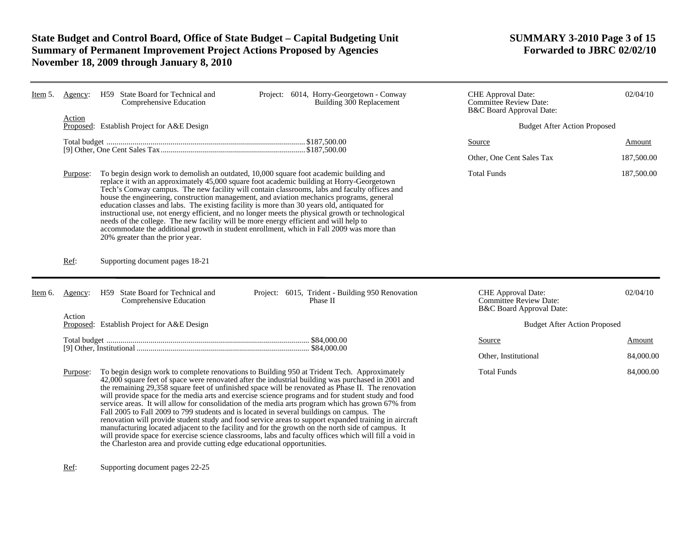# **State Budget and Control Board, Office of State Budget – Capital Budgeting Unit SUMMARY 3-2010 Page 3 of 15 Summary of Permanent Improvement Project Actions Proposed by Agencies November 18, 2009 through January 8, 2010**

| Item 5. | Agency:  | H59 State Board for Technical and<br>Comprehensive Education                                                              | Project: 6014, Horry-Georgetown - Conway<br>Building 300 Replacement                                                                                                                                                                                                                                                                                                                                                                                                                                                                                                                                                                                                                                                                                                                                                                                                                                                                    | CHE Approval Date:<br><b>Committee Review Date:</b><br>B&C Board Approval Date: | 02/04/10   |
|---------|----------|---------------------------------------------------------------------------------------------------------------------------|-----------------------------------------------------------------------------------------------------------------------------------------------------------------------------------------------------------------------------------------------------------------------------------------------------------------------------------------------------------------------------------------------------------------------------------------------------------------------------------------------------------------------------------------------------------------------------------------------------------------------------------------------------------------------------------------------------------------------------------------------------------------------------------------------------------------------------------------------------------------------------------------------------------------------------------------|---------------------------------------------------------------------------------|------------|
|         | Action   | Proposed: Establish Project for A&E Design                                                                                |                                                                                                                                                                                                                                                                                                                                                                                                                                                                                                                                                                                                                                                                                                                                                                                                                                                                                                                                         | <b>Budget After Action Proposed</b>                                             |            |
|         |          |                                                                                                                           |                                                                                                                                                                                                                                                                                                                                                                                                                                                                                                                                                                                                                                                                                                                                                                                                                                                                                                                                         | Source                                                                          | Amount     |
|         |          |                                                                                                                           |                                                                                                                                                                                                                                                                                                                                                                                                                                                                                                                                                                                                                                                                                                                                                                                                                                                                                                                                         | Other, One Cent Sales Tax                                                       | 187,500.00 |
|         | Purpose: | needs of the college. The new facility will be more energy efficient and will help to<br>20% greater than the prior year. | To begin design work to demolish an outdated, 10,000 square foot academic building and<br>replace it with an approximately 45,000 square foot academic building at Horry-Georgetown<br>Tech's Conway campus. The new facility will contain classrooms, labs and faculty offices and<br>house the engineering, construction management, and aviation mechanics programs, general<br>education classes and labs. The existing facility is more than 30 years old, antiquated for<br>instructional use, not energy efficient, and no longer meets the physical growth or technological<br>accommodate the additional growth in student enrollment, which in Fall 2009 was more than                                                                                                                                                                                                                                                        | <b>Total Funds</b>                                                              | 187,500.00 |
|         | Ref:     | Supporting document pages 18-21                                                                                           |                                                                                                                                                                                                                                                                                                                                                                                                                                                                                                                                                                                                                                                                                                                                                                                                                                                                                                                                         |                                                                                 |            |
| Item 6. | Agency:  | H59 State Board for Technical and<br>Comprehensive Education                                                              | Project: 6015, Trident - Building 950 Renovation<br>Phase II                                                                                                                                                                                                                                                                                                                                                                                                                                                                                                                                                                                                                                                                                                                                                                                                                                                                            | CHE Approval Date:<br><b>Committee Review Date:</b><br>B&C Board Approval Date: | 02/04/10   |
|         | Action   | Proposed: Establish Project for A&E Design                                                                                |                                                                                                                                                                                                                                                                                                                                                                                                                                                                                                                                                                                                                                                                                                                                                                                                                                                                                                                                         | <b>Budget After Action Proposed</b>                                             |            |
|         |          |                                                                                                                           |                                                                                                                                                                                                                                                                                                                                                                                                                                                                                                                                                                                                                                                                                                                                                                                                                                                                                                                                         | Source                                                                          | Amount     |
|         |          |                                                                                                                           |                                                                                                                                                                                                                                                                                                                                                                                                                                                                                                                                                                                                                                                                                                                                                                                                                                                                                                                                         | Other, Institutional                                                            | 84,000.00  |
|         | Purpose: | the Charleston area and provide cutting edge educational opportunities.                                                   | To begin design work to complete renovations to Building 950 at Trident Tech. Approximately<br>42,000 square feet of space were renovated after the industrial building was purchased in 2001 and<br>the remaining 29,358 square feet of unfinished space will be renovated as Phase II. The renovation<br>will provide space for the media arts and exercise science programs and for student study and food<br>service areas. It will allow for consolidation of the media arts program which has grown 67% from<br>Fall 2005 to Fall 2009 to 799 students and is located in several buildings on campus. The<br>renovation will provide student study and food service areas to support expanded training in aircraft<br>manufacturing located adjacent to the facility and for the growth on the north side of campus. It<br>will provide space for exercise science classrooms, labs and faculty offices which will fill a void in | <b>Total Funds</b>                                                              | 84,000.00  |

Ref: Supporting document pages 22-25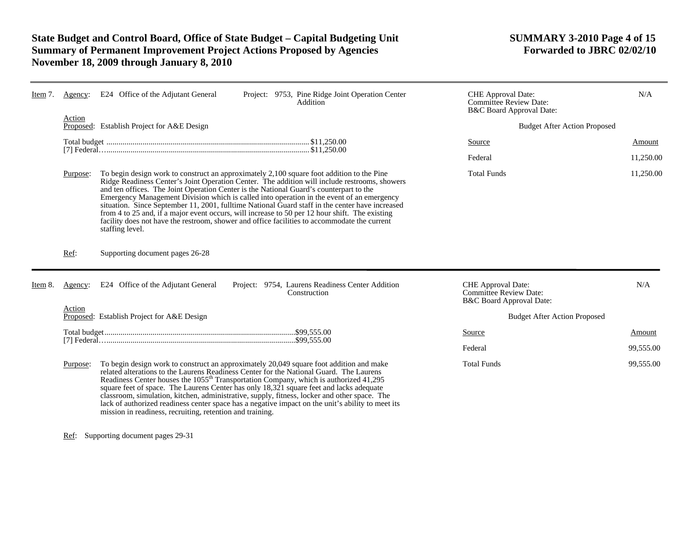# **State Budget and Control Board, Office of State Budget – Capital Budgeting Unit SUMMARY 3-2010 Page 4 of 15 Summary of Permanent Improvement Project Actions Proposed by Agencies November 18, 2009 through January 8, 2010**

| Item $\lambda$ . | Agency:  | E24 Office of the Adjutant General                                                                                                                                                                                                                                                                                                                                                                                                                                                                                                                                                                                                                                                                        | Project: 9753, Pine Ridge Joint Operation Center<br>Addition     | CHE Approval Date:<br>Committee Review Date:<br>B&C Board Approval Date:        | N/A       |
|------------------|----------|-----------------------------------------------------------------------------------------------------------------------------------------------------------------------------------------------------------------------------------------------------------------------------------------------------------------------------------------------------------------------------------------------------------------------------------------------------------------------------------------------------------------------------------------------------------------------------------------------------------------------------------------------------------------------------------------------------------|------------------------------------------------------------------|---------------------------------------------------------------------------------|-----------|
|                  | Action   | Proposed: Establish Project for A&E Design                                                                                                                                                                                                                                                                                                                                                                                                                                                                                                                                                                                                                                                                |                                                                  | <b>Budget After Action Proposed</b>                                             |           |
|                  |          |                                                                                                                                                                                                                                                                                                                                                                                                                                                                                                                                                                                                                                                                                                           |                                                                  | Source                                                                          | Amount    |
|                  |          |                                                                                                                                                                                                                                                                                                                                                                                                                                                                                                                                                                                                                                                                                                           |                                                                  | Federal                                                                         | 11,250.00 |
|                  | Purpose: | To begin design work to construct an approximately 2,100 square foot addition to the Pine<br>Ridge Readiness Center's Joint Operation Center. The addition will include restrooms, showers<br>and ten offices. The Joint Operation Center is the National Guard's counterpart to the<br>Emergency Management Division which is called into operation in the event of an emergency<br>situation. Since September 11, 2001, fulltime National Guard staff in the center have increased<br>from 4 to 25 and, if a major event occurs, will increase to 50 per 12 hour shift. The existing<br>facility does not have the restroom, shower and office facilities to accommodate the current<br>staffing level. |                                                                  | <b>Total Funds</b>                                                              | 11,250.00 |
|                  | Ref:     | Supporting document pages 26-28                                                                                                                                                                                                                                                                                                                                                                                                                                                                                                                                                                                                                                                                           |                                                                  |                                                                                 |           |
| Item 8.          | Agency:  | E24 Office of the Adjutant General                                                                                                                                                                                                                                                                                                                                                                                                                                                                                                                                                                                                                                                                        | Project: 9754, Laurens Readiness Center Addition<br>Construction | CHE Approval Date:<br><b>Committee Review Date:</b><br>B&C Board Approval Date: | N/A       |
|                  | Action   | Proposed: Establish Project for A&E Design                                                                                                                                                                                                                                                                                                                                                                                                                                                                                                                                                                                                                                                                |                                                                  | <b>Budget After Action Proposed</b>                                             |           |
|                  |          |                                                                                                                                                                                                                                                                                                                                                                                                                                                                                                                                                                                                                                                                                                           |                                                                  | Source                                                                          | Amount    |
|                  |          |                                                                                                                                                                                                                                                                                                                                                                                                                                                                                                                                                                                                                                                                                                           |                                                                  | Federal                                                                         | 99,555.00 |
|                  | Purpose: | To begin design work to construct an approximately 20,049 square foot addition and make<br>related alterations to the Laurens Readiness Center for the National Guard. The Laurens<br>Readiness Center houses the 1055 <sup>th</sup> Transportation Company, which is authorized 41,295<br>square feet of space. The Laurens Center has only 18,321 square feet and lacks adequate<br>classroom, simulation, kitchen, administrative, supply, fitness, locker and other space. The<br>lack of authorized readiness center space has a negative impact on the unit's ability to meet its<br>mission in readiness, recruiting, retention and training.                                                      |                                                                  | <b>Total Funds</b>                                                              | 99,555.00 |

Ref: Supporting document pages 29-31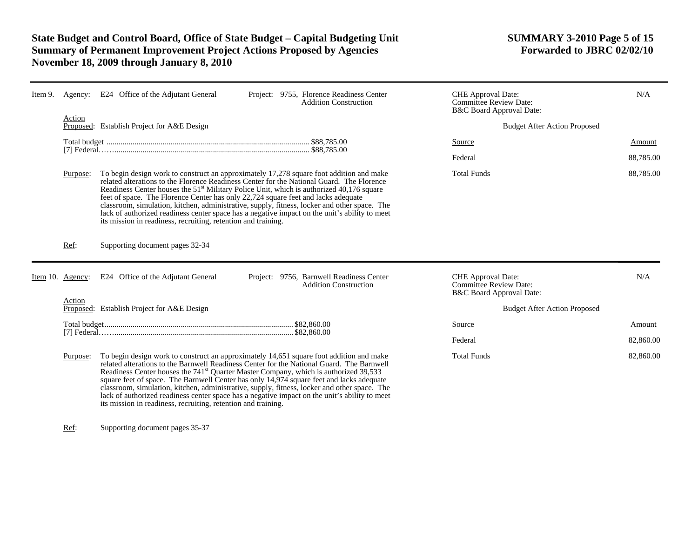# **State Budget and Control Board, Office of State Budget – Capital Budgeting Unit SUMMARY 3-2010 Page 5 of 15 Summary of Permanent Improvement Project Actions Proposed by Agencies November 18, 2009 through January 8, 2010**

| Item 9. | Agency:          | E24 Office of the Adjutant General<br>Project: 9755, Florence Readiness Center<br><b>Addition Construction</b>                                                                                                                                                                                                                                                                                                                                                                                                                                                                                                                                      | <b>CHE</b> Approval Date:<br>Committee Review Date:<br>B&C Board Approval Date: | N/A                                 |
|---------|------------------|-----------------------------------------------------------------------------------------------------------------------------------------------------------------------------------------------------------------------------------------------------------------------------------------------------------------------------------------------------------------------------------------------------------------------------------------------------------------------------------------------------------------------------------------------------------------------------------------------------------------------------------------------------|---------------------------------------------------------------------------------|-------------------------------------|
|         | Action           | Proposed: Establish Project for A&E Design                                                                                                                                                                                                                                                                                                                                                                                                                                                                                                                                                                                                          |                                                                                 | <b>Budget After Action Proposed</b> |
|         |                  |                                                                                                                                                                                                                                                                                                                                                                                                                                                                                                                                                                                                                                                     | Source                                                                          | Amount                              |
|         |                  |                                                                                                                                                                                                                                                                                                                                                                                                                                                                                                                                                                                                                                                     | Federal                                                                         | 88,785.00                           |
|         | Purpose:         | To begin design work to construct an approximately 17,278 square foot addition and make<br>related alterations to the Florence Readiness Center for the National Guard. The Florence<br>Readiness Center houses the 51 <sup>st</sup> Military Police Unit, which is authorized 40,176 square<br>feet of space. The Florence Center has only 22,724 square feet and lacks adequate<br>classroom, simulation, kitchen, administrative, supply, fitness, locker and other space. The<br>lack of authorized readiness center space has a negative impact on the unit's ability to meet<br>its mission in readiness, recruiting, retention and training. | <b>Total Funds</b>                                                              | 88,785.00                           |
|         | Ref:             | Supporting document pages 32-34                                                                                                                                                                                                                                                                                                                                                                                                                                                                                                                                                                                                                     |                                                                                 |                                     |
|         |                  |                                                                                                                                                                                                                                                                                                                                                                                                                                                                                                                                                                                                                                                     |                                                                                 |                                     |
|         | Item 10. Agency: | E24 Office of the Adjutant General<br>Project: 9756, Barnwell Readiness Center<br><b>Addition Construction</b>                                                                                                                                                                                                                                                                                                                                                                                                                                                                                                                                      | CHE Approval Date:<br><b>Committee Review Date:</b><br>B&C Board Approval Date: | N/A                                 |
|         | Action           | Proposed: Establish Project for A&E Design                                                                                                                                                                                                                                                                                                                                                                                                                                                                                                                                                                                                          |                                                                                 | <b>Budget After Action Proposed</b> |
|         |                  |                                                                                                                                                                                                                                                                                                                                                                                                                                                                                                                                                                                                                                                     | Source                                                                          | Amount                              |
|         |                  |                                                                                                                                                                                                                                                                                                                                                                                                                                                                                                                                                                                                                                                     | Federal                                                                         | 82,860.00                           |

Ref: Supporting document pages 35-37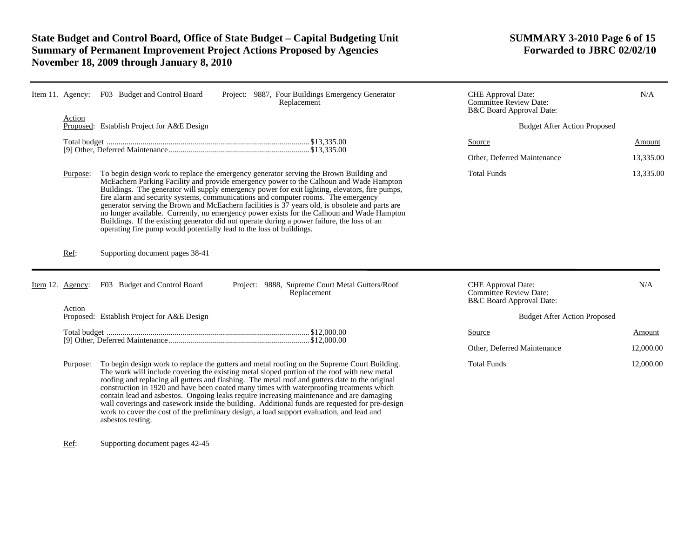# State Budget and Control Board, Office of State Budget – Capital Budgeting Unit SUMMARY 3-2010 Page 6 of 15<br>Summary of Permanent Improvement Project Actions Proposed by Agencies Forwarded to JBRC 02/02/10 **Summary of Permanent Improvement Project Actions Proposed by Agencies November 18, 2009 through January 8, 2010**

| Item 11. Agency: | F03 Budget and Control Board<br>Project: 9887, Four Buildings Emergency Generator<br>Replacement                                                                                                                                                                                                                                                                                                                                                                                                                                                                                                                                                                                                                                                | <b>CHE</b> Approval Date:<br><b>Committee Review Date:</b><br>B&C Board Approval Date: | N/A       |
|------------------|-------------------------------------------------------------------------------------------------------------------------------------------------------------------------------------------------------------------------------------------------------------------------------------------------------------------------------------------------------------------------------------------------------------------------------------------------------------------------------------------------------------------------------------------------------------------------------------------------------------------------------------------------------------------------------------------------------------------------------------------------|----------------------------------------------------------------------------------------|-----------|
| Action           | Proposed: Establish Project for A&E Design                                                                                                                                                                                                                                                                                                                                                                                                                                                                                                                                                                                                                                                                                                      | <b>Budget After Action Proposed</b>                                                    |           |
|                  |                                                                                                                                                                                                                                                                                                                                                                                                                                                                                                                                                                                                                                                                                                                                                 | <b>Source</b>                                                                          | Amount    |
|                  |                                                                                                                                                                                                                                                                                                                                                                                                                                                                                                                                                                                                                                                                                                                                                 | Other, Deferred Maintenance                                                            | 13,335.00 |
| Purpose:         | To begin design work to replace the emergency generator serving the Brown Building and<br>McEachern Parking Facility and provide emergency power to the Calhoun and Wade Hampton<br>Buildings. The generator will supply emergency power for exit lighting, elevators, fire pumps,<br>fire alarm and security systems, communications and computer rooms. The emergency<br>generator serving the Brown and McEachern facilities is 37 years old, is obsolete and parts are<br>no longer available. Currently, no emergency power exists for the Calhoun and Wade Hampton<br>Buildings. If the existing generator did not operate during a power failure, the loss of an<br>operating fire pump would potentially lead to the loss of buildings. | <b>Total Funds</b>                                                                     | 13,335.00 |
| Ref:             | Supporting document pages 38-41                                                                                                                                                                                                                                                                                                                                                                                                                                                                                                                                                                                                                                                                                                                 |                                                                                        |           |
| Item 12. Agency: | F03 Budget and Control Board<br>Project: 9888, Supreme Court Metal Gutters/Roof<br>Replacement                                                                                                                                                                                                                                                                                                                                                                                                                                                                                                                                                                                                                                                  | CHE Approval Date:<br>Committee Review Date:<br>B&C Board Approval Date:               | N/A       |
| Action           | Proposed: Establish Project for A&E Design                                                                                                                                                                                                                                                                                                                                                                                                                                                                                                                                                                                                                                                                                                      | <b>Budget After Action Proposed</b>                                                    |           |
|                  |                                                                                                                                                                                                                                                                                                                                                                                                                                                                                                                                                                                                                                                                                                                                                 | Source                                                                                 | Amount    |
|                  |                                                                                                                                                                                                                                                                                                                                                                                                                                                                                                                                                                                                                                                                                                                                                 | Other, Deferred Maintenance                                                            | 12,000.00 |
| Purpose:         | To begin design work to replace the gutters and metal roofing on the Supreme Court Building.<br>The work will include covering the existing metal sloped portion of the roof with new metal<br>roofing and replacing all gutters and flashing. The metal roof and gutters date to the original<br>construction in 1920 and have been coated many times with waterproofing treatments which<br>contain lead and asbestos. Ongoing leaks require increasing maintenance and are damaging<br>wall coverings and casework inside the building. Additional funds are requested for pre-design<br>work to cover the cost of the preliminary design, a load support evaluation, and lead and<br>asbestos testing.                                      | <b>Total Funds</b>                                                                     | 12,000.00 |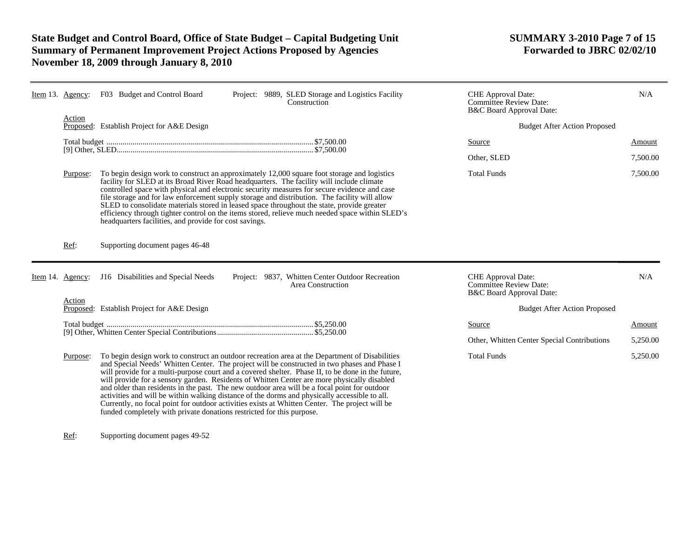# **State Budget and Control Board, Office of State Budget – Capital Budgeting Unit SUMMARY 3-2010 Page 7 of 15 Summary of Permanent Improvement Project Actions Proposed by Agencies November 18, 2009 through January 8, 2010**

|             | Item 13. Agency: | F03 Budget and Control Board                                          | Project: 9889, SLED Storage and Logistics Facility<br>Construction                                                                                                                                                                                                                                                                                                                                                                                                                                                                                                                                                                                                                                    | <b>CHE</b> Approval Date:<br><b>Committee Review Date:</b><br>B&C Board Approval Date: | N/A                |
|-------------|------------------|-----------------------------------------------------------------------|-------------------------------------------------------------------------------------------------------------------------------------------------------------------------------------------------------------------------------------------------------------------------------------------------------------------------------------------------------------------------------------------------------------------------------------------------------------------------------------------------------------------------------------------------------------------------------------------------------------------------------------------------------------------------------------------------------|----------------------------------------------------------------------------------------|--------------------|
|             | Action           | Proposed: Establish Project for A&E Design                            |                                                                                                                                                                                                                                                                                                                                                                                                                                                                                                                                                                                                                                                                                                       | <b>Budget After Action Proposed</b>                                                    |                    |
|             |                  |                                                                       |                                                                                                                                                                                                                                                                                                                                                                                                                                                                                                                                                                                                                                                                                                       | Source                                                                                 | Amount             |
|             |                  |                                                                       |                                                                                                                                                                                                                                                                                                                                                                                                                                                                                                                                                                                                                                                                                                       | Other, SLED                                                                            | 7,500.00           |
|             | Purpose:         | headquarters facilities, and provide for cost savings.                | To begin design work to construct an approximately 12,000 square foot storage and logistics<br>facility for SLED at its Broad River Road headquarters. The facility will include climate<br>controlled space with physical and electronic security measures for secure evidence and case<br>file storage and for law enforcement supply storage and distribution. The facility will allow<br>SLED to consolidate materials stored in leased space throughout the state, provide greater<br>efficiency through tighter control on the items stored, relieve much needed space within SLED's                                                                                                            | <b>Total Funds</b>                                                                     | 7,500.00           |
|             | Ref:             | Supporting document pages 46-48                                       |                                                                                                                                                                                                                                                                                                                                                                                                                                                                                                                                                                                                                                                                                                       |                                                                                        |                    |
| Item $14$ . | Agency:          | J16 Disabilities and Special Needs                                    | Project: 9837, Whitten Center Outdoor Recreation<br>Area Construction                                                                                                                                                                                                                                                                                                                                                                                                                                                                                                                                                                                                                                 | CHE Approval Date:<br>Committee Review Date:<br>B&C Board Approval Date:               | N/A                |
|             | Action           | Proposed: Establish Project for A&E Design                            |                                                                                                                                                                                                                                                                                                                                                                                                                                                                                                                                                                                                                                                                                                       | <b>Budget After Action Proposed</b>                                                    |                    |
|             |                  |                                                                       |                                                                                                                                                                                                                                                                                                                                                                                                                                                                                                                                                                                                                                                                                                       | Source<br>Other, Whitten Center Special Contributions                                  | Amount<br>5,250.00 |
|             | Purpose:         | funded completely with private donations restricted for this purpose. | To begin design work to construct an outdoor recreation area at the Department of Disabilities<br>and Special Needs' Whitten Center. The project will be constructed in two phases and Phase I<br>will provide for a multi-purpose court and a covered shelter. Phase II, to be done in the future,<br>will provide for a sensory garden. Residents of Whitten Center are more physically disabled<br>and older than residents in the past. The new outdoor area will be a focal point for outdoor<br>activities and will be within walking distance of the dorms and physically accessible to all.<br>Currently, no focal point for outdoor activities exists at Whitten Center. The project will be | <b>Total Funds</b>                                                                     | 5,250.00           |

Ref: Supporting document pages 49-52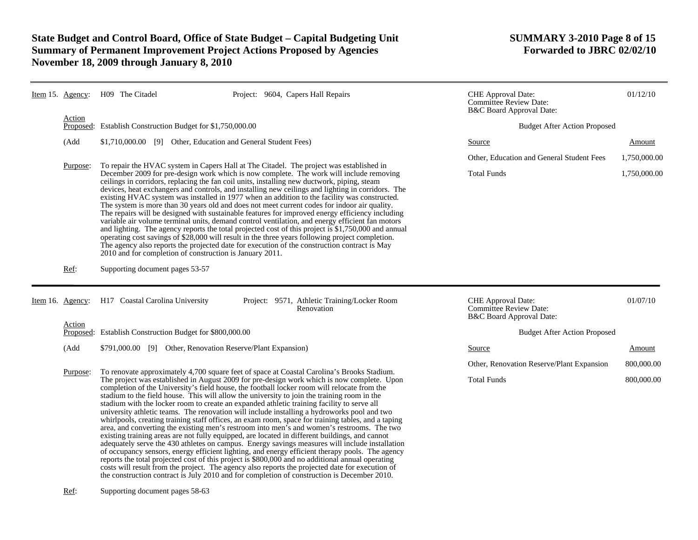# State Budget and Control Board, Office of State Budget – Capital Budgeting Unit **SUMMARY 3-2010 Page 8 of 15**<br>Summary of Permanent Improvement Project Actions Proposed by Agencies **Forwarded to JBRC 02/02/10 Summary of Permanent Improvement Project Actions Proposed by Agencies November 18, 2009 through January 8, 2010**

| Item 15. Agency:    | H09 The Citadel                                                                                                                                                                                                                                                                                                                                                                                                                                                                                                                                                                                                                                                                                                                                                                                                                                                                                                                                                                                                                                                         | Project: 9604, Capers Hall Repairs                         | CHE Approval Date:<br><b>Committee Review Date:</b><br>B&C Board Approval Date: |                                           | 01/12/10     |
|---------------------|-------------------------------------------------------------------------------------------------------------------------------------------------------------------------------------------------------------------------------------------------------------------------------------------------------------------------------------------------------------------------------------------------------------------------------------------------------------------------------------------------------------------------------------------------------------------------------------------------------------------------------------------------------------------------------------------------------------------------------------------------------------------------------------------------------------------------------------------------------------------------------------------------------------------------------------------------------------------------------------------------------------------------------------------------------------------------|------------------------------------------------------------|---------------------------------------------------------------------------------|-------------------------------------------|--------------|
| Action<br>Proposed: | Establish Construction Budget for \$1,750,000.00                                                                                                                                                                                                                                                                                                                                                                                                                                                                                                                                                                                                                                                                                                                                                                                                                                                                                                                                                                                                                        |                                                            |                                                                                 | <b>Budget After Action Proposed</b>       |              |
| (Add                | \$1,710,000.00 [9] Other, Education and General Student Fees)                                                                                                                                                                                                                                                                                                                                                                                                                                                                                                                                                                                                                                                                                                                                                                                                                                                                                                                                                                                                           |                                                            | Source                                                                          |                                           | Amount       |
| Purpose:            | To repair the HVAC system in Capers Hall at The Citadel. The project was established in                                                                                                                                                                                                                                                                                                                                                                                                                                                                                                                                                                                                                                                                                                                                                                                                                                                                                                                                                                                 |                                                            |                                                                                 | Other, Education and General Student Fees | 1,750,000.00 |
|                     | December 2009 for pre-design work which is now complete. The work will include removing<br>ceilings in corridors, replacing the fan coil units, installing new ductwork, piping, steam<br>devices, heat exchangers and controls, and installing new ceilings and lighting in corridors. The<br>existing HVAC system was installed in 1977 when an addition to the facility was constructed.<br>The system is more than 30 years old and does not meet current codes for indoor air quality.<br>The repairs will be designed with sustainable features for improved energy efficiency including<br>variable air volume terminal units, demand control ventilation, and energy efficient fan motors<br>and lighting. The agency reports the total projected cost of this project is \$1,750,000 and annual<br>operating cost savings of \$28,000 will result in the three years following project completion.<br>The agency also reports the projected date for execution of the construction contract is May<br>2010 and for completion of construction is January 2011. |                                                            | <b>Total Funds</b>                                                              |                                           | 1,750,000.00 |
| Ref:                | Supporting document pages 53-57                                                                                                                                                                                                                                                                                                                                                                                                                                                                                                                                                                                                                                                                                                                                                                                                                                                                                                                                                                                                                                         |                                                            |                                                                                 |                                           |              |
|                     |                                                                                                                                                                                                                                                                                                                                                                                                                                                                                                                                                                                                                                                                                                                                                                                                                                                                                                                                                                                                                                                                         |                                                            |                                                                                 |                                           |              |
| Item 16. Agency:    | H17 Coastal Carolina University                                                                                                                                                                                                                                                                                                                                                                                                                                                                                                                                                                                                                                                                                                                                                                                                                                                                                                                                                                                                                                         | Project: 9571, Athletic Training/Locker Room<br>Renovation | CHE Approval Date:<br>Committee Review Date:<br>B&C Board Approval Date:        |                                           | 01/07/10     |
| Action              | Proposed: Establish Construction Budget for \$800,000.00                                                                                                                                                                                                                                                                                                                                                                                                                                                                                                                                                                                                                                                                                                                                                                                                                                                                                                                                                                                                                |                                                            |                                                                                 | <b>Budget After Action Proposed</b>       |              |
| (Add                | \$791,000.00 [9] Other, Renovation Reserve/Plant Expansion)                                                                                                                                                                                                                                                                                                                                                                                                                                                                                                                                                                                                                                                                                                                                                                                                                                                                                                                                                                                                             |                                                            | Source                                                                          |                                           | Amount       |
| Purpose:            | To renovate approximately 4,700 square feet of space at Coastal Carolina's Brooks Stadium.                                                                                                                                                                                                                                                                                                                                                                                                                                                                                                                                                                                                                                                                                                                                                                                                                                                                                                                                                                              |                                                            |                                                                                 | Other, Renovation Reserve/Plant Expansion | 800,000.00   |

Ref: Supporting document pages 58-63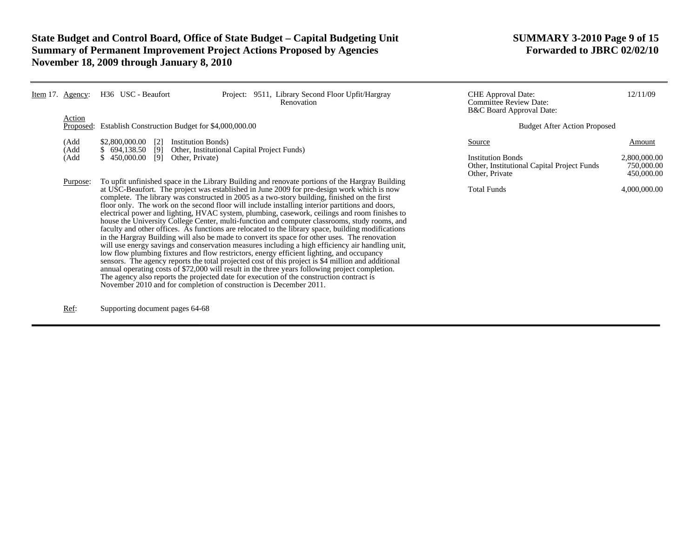# **State Budget and Control Board, Office of State Budget – Capital Budgeting Unit SUMMARY 3-2010 Page 9 of 15 Summary of Permanent Improvement Project Actions Proposed by Agencies November 18, 2009 through January 8, 2010**

| <u>Item</u> 17. Agency: | H36 USC - Beaufort                                                                                                                                                                                                                                                                                                                                                                                                                                                                                                                                                                                                                                                                                                                                                                                                                                                                                                                                                                                                                                                                                                                                                                                                                                                                                                                                                                    | Project: 9511, Library Second Floor Upfit/Hargray<br>Renovation |  | <b>CHE</b> Approval Date:<br><b>Committee Review Date:</b><br>B&C Board Approval Date:             | 12/11/09                                           |
|-------------------------|---------------------------------------------------------------------------------------------------------------------------------------------------------------------------------------------------------------------------------------------------------------------------------------------------------------------------------------------------------------------------------------------------------------------------------------------------------------------------------------------------------------------------------------------------------------------------------------------------------------------------------------------------------------------------------------------------------------------------------------------------------------------------------------------------------------------------------------------------------------------------------------------------------------------------------------------------------------------------------------------------------------------------------------------------------------------------------------------------------------------------------------------------------------------------------------------------------------------------------------------------------------------------------------------------------------------------------------------------------------------------------------|-----------------------------------------------------------------|--|----------------------------------------------------------------------------------------------------|----------------------------------------------------|
| Action<br>Proposed:     | Establish Construction Budget for \$4,000,000.00                                                                                                                                                                                                                                                                                                                                                                                                                                                                                                                                                                                                                                                                                                                                                                                                                                                                                                                                                                                                                                                                                                                                                                                                                                                                                                                                      |                                                                 |  | <b>Budget After Action Proposed</b>                                                                |                                                    |
| (Add<br>(Add<br>(Add    | \$2,800,000.00<br><b>Institution Bonds</b> )<br>$\lceil 2 \rceil$<br>\$694,138.50<br>[9]<br>\$450,000.00<br>[9]<br>Other, Private)                                                                                                                                                                                                                                                                                                                                                                                                                                                                                                                                                                                                                                                                                                                                                                                                                                                                                                                                                                                                                                                                                                                                                                                                                                                    | Other, Institutional Capital Project Funds)                     |  | Source<br><b>Institution Bonds</b><br>Other, Institutional Capital Project Funds<br>Other, Private | Amount<br>2,800,000.00<br>750,000.00<br>450,000.00 |
| Purpose:                | To upfit unfinished space in the Library Building and renovate portions of the Hargray Building<br>at USC-Beaufort. The project was established in June 2009 for pre-design work which is now<br>complete. The library was constructed in 2005 as a two-story building, finished on the first<br>floor only. The work on the second floor will include installing interior partitions and doors,<br>electrical power and lighting, HVAC system, plumbing, casework, ceilings and room finishes to<br>house the University College Center, multi-function and computer classrooms, study rooms, and<br>faculty and other offices. As functions are relocated to the library space, building modifications<br>in the Hargray Building will also be made to convert its space for other uses. The renovation<br>will use energy savings and conservation measures including a high efficiency air handling unit,<br>low flow plumbing fixtures and flow restrictors, energy efficient lighting, and occupancy<br>sensors. The agency reports the total projected cost of this project is \$4 million and additional<br>annual operating costs of \$72,000 will result in the three years following project completion.<br>The agency also reports the projected date for execution of the construction contract is<br>November 2010 and for completion of construction is December 2011. |                                                                 |  | <b>Total Funds</b>                                                                                 | 4,000,000.00                                       |

Ref: Supporting document pages 64-68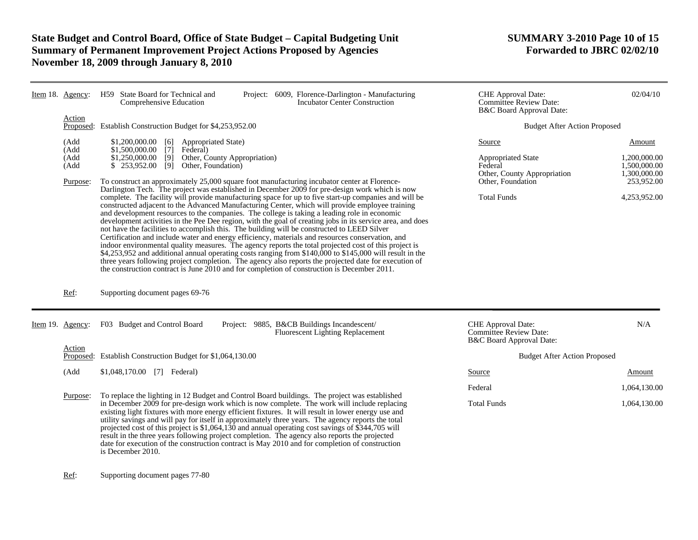# **State Budget and Control Board, Office of State Budget – Capital Budgeting Unit SUMMARY 3-2010 Page 10 of 15 Summary of Permanent Improvement Project Actions Proposed by Agencies November 18, 2009 through January 8, 2010**

|  | Item 18. Agency:                         | H59 State Board for Technical and<br>Project: 6009, Florence-Darlington - Manufacturing<br>Incubator Center Construction<br>Comprehensive Education                                                                                                                                                                                                                                                                                                                                                                                                                                                                                                                                                                                                                                                                                                                                                                                                                                                                                                                                                                                                   | <b>CHE</b> Approval Date:<br><b>Committee Review Date:</b><br><b>B&amp;C</b> Board Approval Date:  | 02/04/10                                                             |  |
|--|------------------------------------------|-------------------------------------------------------------------------------------------------------------------------------------------------------------------------------------------------------------------------------------------------------------------------------------------------------------------------------------------------------------------------------------------------------------------------------------------------------------------------------------------------------------------------------------------------------------------------------------------------------------------------------------------------------------------------------------------------------------------------------------------------------------------------------------------------------------------------------------------------------------------------------------------------------------------------------------------------------------------------------------------------------------------------------------------------------------------------------------------------------------------------------------------------------|----------------------------------------------------------------------------------------------------|----------------------------------------------------------------------|--|
|  | Action                                   | Proposed: Establish Construction Budget for \$4,253,952.00                                                                                                                                                                                                                                                                                                                                                                                                                                                                                                                                                                                                                                                                                                                                                                                                                                                                                                                                                                                                                                                                                            | <b>Budget After Action Proposed</b>                                                                |                                                                      |  |
|  | (Add<br>(Add<br>(Add<br>(Add<br>Purpose: | \$1,200,000.00 [6] Appropriated State)<br>$$1,500,000.00$ [7]<br>Federal)<br>\$1,250,000.00 [9] Other, County Appropriation)<br>Other, Foundation)<br>$$253,952.00$ [9]<br>To construct an approximately 25,000 square foot manufacturing incubator center at Florence-                                                                                                                                                                                                                                                                                                                                                                                                                                                                                                                                                                                                                                                                                                                                                                                                                                                                               | Source<br><b>Appropriated State</b><br>Federal<br>Other, County Appropriation<br>Other, Foundation | Amount<br>1,200,000.00<br>1,500,000.00<br>1,300,000.00<br>253,952.00 |  |
|  |                                          | Darlington Tech. The project was established in December 2009 for pre-design work which is now<br>complete. The facility will provide manufacturing space for up to five start-up companies and will be<br>constructed adjacent to the Advanced Manufacturing Center, which will provide employee training<br>and development resources to the companies. The college is taking a leading role in economic<br>development activities in the Pee Dee region, with the goal of creating jobs in its service area, and does<br>not have the facilities to accomplish this. The building will be constructed to LEED Silver<br>Certification and include water and energy efficiency, materials and resources conservation, and<br>indoor environmental quality measures. The agency reports the total projected cost of this project is<br>\$4,253,952 and additional annual operating costs ranging from \$140,000 to \$145,000 will result in the three years following project completion. The agency also reports the projected date for execution of<br>the construction contract is June 2010 and for completion of construction is December 2011. | <b>Total Funds</b>                                                                                 | 4,253,952.00                                                         |  |
|  | Ref:                                     | Supporting document pages 69-76                                                                                                                                                                                                                                                                                                                                                                                                                                                                                                                                                                                                                                                                                                                                                                                                                                                                                                                                                                                                                                                                                                                       |                                                                                                    |                                                                      |  |
|  | Item 19. Agency:                         | F03 Budget and Control Board<br>Project: 9885, B&CB Buildings Incandescent/<br><b>Fluorescent Lighting Replacement</b>                                                                                                                                                                                                                                                                                                                                                                                                                                                                                                                                                                                                                                                                                                                                                                                                                                                                                                                                                                                                                                | <b>CHE</b> Approval Date:<br><b>Committee Review Date:</b><br>B&C Board Approval Date:             | N/A                                                                  |  |
|  | Action<br>Proposed:                      | Establish Construction Budget for \$1,064,130.00                                                                                                                                                                                                                                                                                                                                                                                                                                                                                                                                                                                                                                                                                                                                                                                                                                                                                                                                                                                                                                                                                                      | <b>Budget After Action Proposed</b>                                                                |                                                                      |  |
|  | (Add                                     | \$1,048,170.00 [7] Federal)                                                                                                                                                                                                                                                                                                                                                                                                                                                                                                                                                                                                                                                                                                                                                                                                                                                                                                                                                                                                                                                                                                                           | Source                                                                                             | <b>Amount</b>                                                        |  |
|  | Purpose:                                 | To replace the lighting in 12 Budget and Control Board buildings. The project was established                                                                                                                                                                                                                                                                                                                                                                                                                                                                                                                                                                                                                                                                                                                                                                                                                                                                                                                                                                                                                                                         | Federal                                                                                            | 1,064,130.00                                                         |  |
|  |                                          | in December 2009 for pre-design work which is now complete. The work will include replacing<br>existing light fixtures with more energy efficient fixtures. It will result in lower energy use and<br>utility savings and will pay for itself in approximately three years. The agency reports the total<br>projected cost of this project is \$1,064,130 and annual operating cost savings of \$344,705 will<br>result in the three years following project completion. The agency also reports the projected<br>date for execution of the construction contract is May 2010 and for completion of construction<br>is December 2010.                                                                                                                                                                                                                                                                                                                                                                                                                                                                                                                 | <b>Total Funds</b>                                                                                 | 1,064,130.00                                                         |  |
|  | Ref:                                     | Supporting document pages 77-80                                                                                                                                                                                                                                                                                                                                                                                                                                                                                                                                                                                                                                                                                                                                                                                                                                                                                                                                                                                                                                                                                                                       |                                                                                                    |                                                                      |  |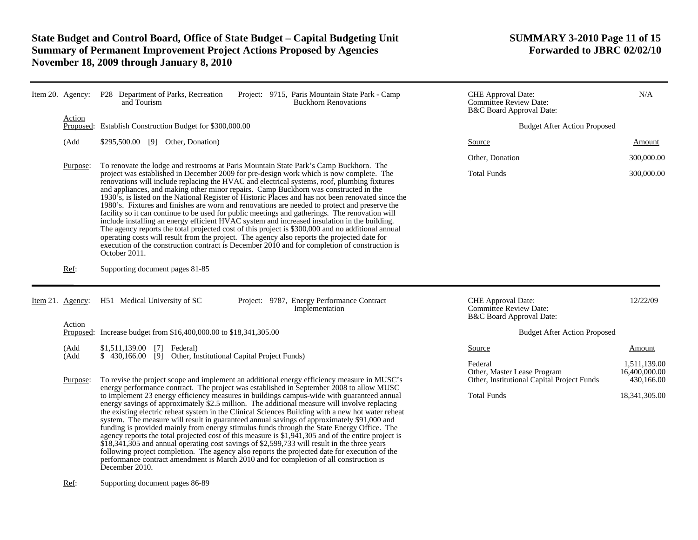# **State Budget and Control Board, Office of State Budget – Capital Budgeting Unit SUMMARY 3-2010 Page 11 of 15 Summary of Permanent Improvement Project Actions Proposed by Agencies November 18, 2009 through January 8, 2010**

| Item 20. Agency:    | P28 Department of Parks, Recreation<br>Project: 9715, Paris Mountain State Park - Camp<br><b>Buckhorn Renovations</b><br>and Tourism                                                                                                                                                                                                                                                                                                                                                                                                                                                                                                                                                                                                                                                                                                                                                                                                                                                                                                                                                                                                                                           | CHE Approval Date:<br><b>Committee Review Date:</b><br>B&C Board Approval Date:                            | N/A                                                          |  |
|---------------------|--------------------------------------------------------------------------------------------------------------------------------------------------------------------------------------------------------------------------------------------------------------------------------------------------------------------------------------------------------------------------------------------------------------------------------------------------------------------------------------------------------------------------------------------------------------------------------------------------------------------------------------------------------------------------------------------------------------------------------------------------------------------------------------------------------------------------------------------------------------------------------------------------------------------------------------------------------------------------------------------------------------------------------------------------------------------------------------------------------------------------------------------------------------------------------|------------------------------------------------------------------------------------------------------------|--------------------------------------------------------------|--|
| Action<br>Proposed: | Establish Construction Budget for \$300,000.00                                                                                                                                                                                                                                                                                                                                                                                                                                                                                                                                                                                                                                                                                                                                                                                                                                                                                                                                                                                                                                                                                                                                 | <b>Budget After Action Proposed</b>                                                                        |                                                              |  |
| (Add                | \$295,500.00 [9] Other, Donation)                                                                                                                                                                                                                                                                                                                                                                                                                                                                                                                                                                                                                                                                                                                                                                                                                                                                                                                                                                                                                                                                                                                                              | Source                                                                                                     | Amount                                                       |  |
|                     |                                                                                                                                                                                                                                                                                                                                                                                                                                                                                                                                                                                                                                                                                                                                                                                                                                                                                                                                                                                                                                                                                                                                                                                | Other, Donation                                                                                            | 300,000.00                                                   |  |
| Purpose:            | To renovate the lodge and restrooms at Paris Mountain State Park's Camp Buckhorn. The<br>project was established in December 2009 for pre-design work which is now complete. The<br>renovations will include replacing the HVAC and electrical systems, roof, plumbing fixtures<br>and appliances, and making other minor repairs. Camp Buckhorn was constructed in the<br>$1930\text{ s}$ , is listed on the National Register of Historic Places and has not been renovated since the<br>1980's. Fixtures and finishes are worn and renovations are needed to protect and preserve the<br>facility so it can continue to be used for public meetings and gatherings. The renovation will<br>include installing an energy efficient HVAC system and increased insulation in the building.<br>The agency reports the total projected cost of this project is \$300,000 and no additional annual<br>operating costs will result from the project. The agency also reports the projected date for<br>execution of the construction contract is December 2010 and for completion of construction is<br>October 2011.                                                              | <b>Total Funds</b>                                                                                         | 300,000.00                                                   |  |
| Ref:                | Supporting document pages 81-85                                                                                                                                                                                                                                                                                                                                                                                                                                                                                                                                                                                                                                                                                                                                                                                                                                                                                                                                                                                                                                                                                                                                                |                                                                                                            |                                                              |  |
| Item 21. Agency:    | H51 Medical University of SC<br>Project: 9787, Energy Performance Contract<br>Implementation                                                                                                                                                                                                                                                                                                                                                                                                                                                                                                                                                                                                                                                                                                                                                                                                                                                                                                                                                                                                                                                                                   | CHE Approval Date:<br><b>Committee Review Date:</b><br>B&C Board Approval Date:                            | 12/22/09                                                     |  |
| Action              | Proposed: Increase budget from \$16,400,000.00 to \$18,341,305.00                                                                                                                                                                                                                                                                                                                                                                                                                                                                                                                                                                                                                                                                                                                                                                                                                                                                                                                                                                                                                                                                                                              | <b>Budget After Action Proposed</b>                                                                        |                                                              |  |
| (Add                | \$1,511,139.00 [7] Federal)                                                                                                                                                                                                                                                                                                                                                                                                                                                                                                                                                                                                                                                                                                                                                                                                                                                                                                                                                                                                                                                                                                                                                    | Source                                                                                                     | Amount                                                       |  |
| (Add<br>Purpose:    | Other, Institutional Capital Project Funds)<br>$$430,166.00$ [9]<br>To revise the project scope and implement an additional energy efficiency measure in MUSC's<br>energy performance contract. The project was established in September 2008 to allow MUSC<br>to implement 23 energy efficiency measures in buildings campus-wide with guaranteed annual<br>energy savings of approximately \$2.5 million. The additional measure will involve replacing<br>the existing electric reheat system in the Clinical Sciences Building with a new hot water reheat<br>system. The measure will result in guaranteed annual savings of approximately \$91,000 and<br>funding is provided mainly from energy stimulus funds through the State Energy Office. The<br>agency reports the total projected cost of this measure is \$1,941,305 and of the entire project is<br>\$18,341,305 and annual operating cost savings of \$2,599,733 will result in the three years<br>following project completion. The agency also reports the projected date for execution of the<br>performance contract amendment is March 2010 and for completion of all construction is<br>December 2010. | Federal<br>Other, Master Lease Program<br>Other, Institutional Capital Project Funds<br><b>Total Funds</b> | 1.511.139.00<br>16,400,000.00<br>430,166.00<br>18,341,305.00 |  |

### Ref: Supporting document pages 86-89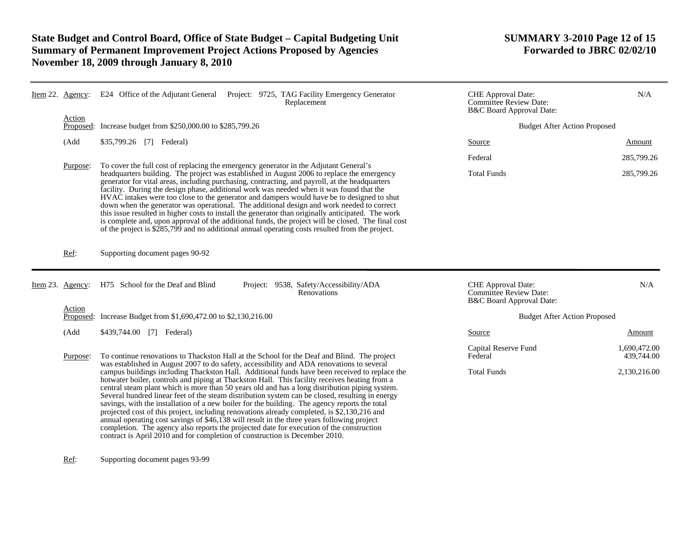# **State Budget and Control Board, Office of State Budget – Capital Budgeting Unit SUMMARY 3-2010 Page 12 of 15 Summary of Permanent Improvement Project Actions Proposed by Agencies November 18, 2009 through January 8, 2010**

| Agency:  | E24 Office of the Adjutant General Project: 9725, TAG Facility Emergency Generator<br>Replacement                                                                                                                                                                                                                                                                                                                                                                                                                                                                                                                                                                                                                                                                                                                                                                                                                                                                                                                                                                        | <b>CHE</b> Approval Date:<br><b>Committee Review Date:</b><br>B&C Board Approval Date:                                                                                                                                        | N/A                                        |
|----------|--------------------------------------------------------------------------------------------------------------------------------------------------------------------------------------------------------------------------------------------------------------------------------------------------------------------------------------------------------------------------------------------------------------------------------------------------------------------------------------------------------------------------------------------------------------------------------------------------------------------------------------------------------------------------------------------------------------------------------------------------------------------------------------------------------------------------------------------------------------------------------------------------------------------------------------------------------------------------------------------------------------------------------------------------------------------------|-------------------------------------------------------------------------------------------------------------------------------------------------------------------------------------------------------------------------------|--------------------------------------------|
|          |                                                                                                                                                                                                                                                                                                                                                                                                                                                                                                                                                                                                                                                                                                                                                                                                                                                                                                                                                                                                                                                                          |                                                                                                                                                                                                                               |                                            |
| (Add     | \$35,799.26 [7] Federal)                                                                                                                                                                                                                                                                                                                                                                                                                                                                                                                                                                                                                                                                                                                                                                                                                                                                                                                                                                                                                                                 | Source                                                                                                                                                                                                                        | Amount                                     |
|          |                                                                                                                                                                                                                                                                                                                                                                                                                                                                                                                                                                                                                                                                                                                                                                                                                                                                                                                                                                                                                                                                          | Federal                                                                                                                                                                                                                       | 285,799.26                                 |
|          | headquarters building. The project was established in August 2006 to replace the emergency<br>generator for vital areas, including purchasing, contracting, and payroll, at the headquarters<br>facility. During the design phase, additional work was needed when it was found that the<br>HVAC intakes were too close to the generator and dampers would have be to designed to shut<br>down when the generator was operational. The additional design and work needed to correct<br>this issue resulted in higher costs to install the generator than originally anticipated. The work<br>is complete and, upon approval of the additional funds, the project will be closed. The final cost<br>of the project is \$285,799 and no additional annual operating costs resulted from the project.                                                                                                                                                                                                                                                                       | <b>Total Funds</b>                                                                                                                                                                                                            | 285,799.26                                 |
| Ref:     | Supporting document pages 90-92                                                                                                                                                                                                                                                                                                                                                                                                                                                                                                                                                                                                                                                                                                                                                                                                                                                                                                                                                                                                                                          |                                                                                                                                                                                                                               |                                            |
|          | H75 School for the Deaf and Blind<br>Project: 9538, Safety/Accessibility/ADA<br>Renovations                                                                                                                                                                                                                                                                                                                                                                                                                                                                                                                                                                                                                                                                                                                                                                                                                                                                                                                                                                              | CHE Approval Date:<br><b>Committee Review Date:</b><br>B&C Board Approval Date:                                                                                                                                               | N/A                                        |
|          |                                                                                                                                                                                                                                                                                                                                                                                                                                                                                                                                                                                                                                                                                                                                                                                                                                                                                                                                                                                                                                                                          | <b>Budget After Action Proposed</b>                                                                                                                                                                                           |                                            |
| (Add     | \$439,744.00 [7] Federal)                                                                                                                                                                                                                                                                                                                                                                                                                                                                                                                                                                                                                                                                                                                                                                                                                                                                                                                                                                                                                                                | Source                                                                                                                                                                                                                        | Amount                                     |
| Purpose: | To continue renovations to Thackston Hall at the School for the Deaf and Blind. The project<br>was established in August 2007 to do safety, accessibility and ADA renovations to several<br>campus buildings including Thackston Hall. Additional funds have been received to replace the<br>hotwater boiler, controls and piping at Thackston Hall. This facility receives heating from a<br>central steam plant which is more than 50 years old and has a long distribution piping system.<br>Several hundred linear feet of the steam distribution system can be closed, resulting in energy<br>savings, with the installation of a new boiler for the building. The agency reports the total<br>projected cost of this project, including renovations already completed, is \$2,130,216 and<br>annual operating cost savings of \$46,138 will result in the three years following project<br>completion. The agency also reports the projected date for execution of the construction<br>contract is April 2010 and for completion of construction is December 2010. | Capital Reserve Fund<br>Federal<br><b>Total Funds</b>                                                                                                                                                                         | 1,690,472.00<br>439,744.00<br>2,130,216.00 |
|          | Item $22$ .<br>Action<br>Purpose:<br>Item 23. Agency:<br>Action                                                                                                                                                                                                                                                                                                                                                                                                                                                                                                                                                                                                                                                                                                                                                                                                                                                                                                                                                                                                          | Increase budget from \$250,000.00 to \$285,799.26<br>Proposed:<br>To cover the full cost of replacing the emergency generator in the Adjutant General's<br>Increase Budget from \$1,690,472.00 to \$2,130,216.00<br>Proposed: | <b>Budget After Action Proposed</b>        |

Ref: Supporting document pages 93-99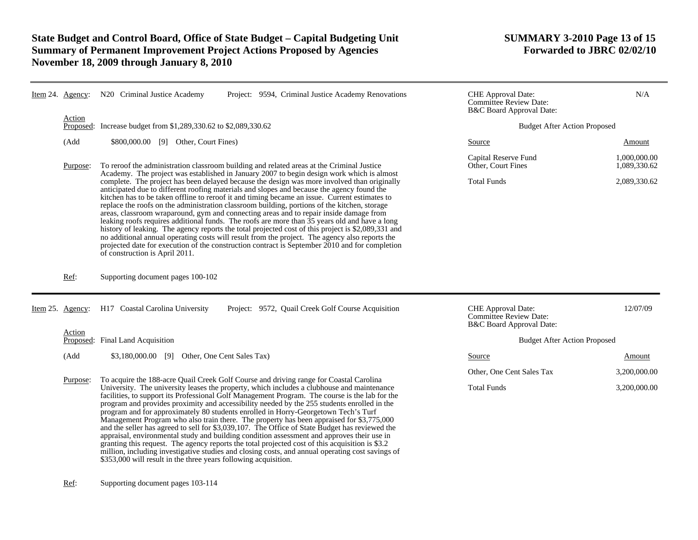# **State Budget and Control Board, Office of State Budget – Capital Budgeting Unit SUMMARY 3-2010 Page 13 of 15 Summary of Permanent Improvement Project Actions Proposed by Agencies November 18, 2009 through January 8, 2010**

| Item 24. Agency:    | N20 Criminal Justice Academy<br>Project: 9594, Criminal Justice Academy Renovations                                                                                                                                                                                                                                                                                                                                                                                                                                                                                                                                                                                                                                                                                                                                                                                                                                                                                                                                                                                                                                         | CHE Approval Date:<br><b>Committee Review Date:</b><br>B&C Board Approval Date: | N/A                                          |  |
|---------------------|-----------------------------------------------------------------------------------------------------------------------------------------------------------------------------------------------------------------------------------------------------------------------------------------------------------------------------------------------------------------------------------------------------------------------------------------------------------------------------------------------------------------------------------------------------------------------------------------------------------------------------------------------------------------------------------------------------------------------------------------------------------------------------------------------------------------------------------------------------------------------------------------------------------------------------------------------------------------------------------------------------------------------------------------------------------------------------------------------------------------------------|---------------------------------------------------------------------------------|----------------------------------------------|--|
| Action<br>Proposed: | Increase budget from \$1,289,330.62 to \$2,089,330.62                                                                                                                                                                                                                                                                                                                                                                                                                                                                                                                                                                                                                                                                                                                                                                                                                                                                                                                                                                                                                                                                       | <b>Budget After Action Proposed</b>                                             |                                              |  |
| (Add                | \$800,000.00 [9] Other, Court Fines)                                                                                                                                                                                                                                                                                                                                                                                                                                                                                                                                                                                                                                                                                                                                                                                                                                                                                                                                                                                                                                                                                        | Source                                                                          | Amount                                       |  |
| Purpose:            | To reroof the administration classroom building and related areas at the Criminal Justice<br>Academy. The project was established in January 2007 to begin design work which is almost<br>complete. The project has been delayed because the design was more involved than originally<br>anticipated due to different roofing materials and slopes and because the agency found the<br>kitchen has to be taken offline to reroof it and timing became an issue. Current estimates to<br>replace the roofs on the administration classroom building, portions of the kitchen, storage<br>areas, classroom wraparound, gym and connecting areas and to repair inside damage from<br>leaking roofs requires additional funds. The roofs are more than 35 years old and have a long<br>history of leaking. The agency reports the total projected cost of this project is \$2,089,331 and<br>no additional annual operating costs will result from the project. The agency also reports the<br>projected date for execution of the construction contract is September 2010 and for completion<br>of construction is April 2011. | Capital Reserve Fund<br>Other, Court Fines<br><b>Total Funds</b>                | 1,000,000.00<br>1,089,330.62<br>2,089,330.62 |  |
| Ref:                | Supporting document pages 100-102                                                                                                                                                                                                                                                                                                                                                                                                                                                                                                                                                                                                                                                                                                                                                                                                                                                                                                                                                                                                                                                                                           |                                                                                 |                                              |  |
| Item 25. Agency:    | H17 Coastal Carolina University<br>Project: 9572, Quail Creek Golf Course Acquisition                                                                                                                                                                                                                                                                                                                                                                                                                                                                                                                                                                                                                                                                                                                                                                                                                                                                                                                                                                                                                                       | CHE Approval Date:<br><b>Committee Review Date:</b><br>B&C Board Approval Date: | 12/07/09                                     |  |
| Action              | Proposed: Final Land Acquisition                                                                                                                                                                                                                                                                                                                                                                                                                                                                                                                                                                                                                                                                                                                                                                                                                                                                                                                                                                                                                                                                                            | <b>Budget After Action Proposed</b>                                             |                                              |  |
| (Add                | \$3,180,000.00 [9] Other, One Cent Sales Tax)                                                                                                                                                                                                                                                                                                                                                                                                                                                                                                                                                                                                                                                                                                                                                                                                                                                                                                                                                                                                                                                                               | Source                                                                          | Amount                                       |  |
|                     |                                                                                                                                                                                                                                                                                                                                                                                                                                                                                                                                                                                                                                                                                                                                                                                                                                                                                                                                                                                                                                                                                                                             | Other, One Cent Sales Tax                                                       | 3,200,000.00                                 |  |
| Purpose:            | To acquire the 188-acre Quail Creek Golf Course and driving range for Coastal Carolina<br>University. The university leases the property, which includes a clubhouse and maintenance<br>facilities, to support its Professional Golf Management Program. The course is the lab for the<br>program and provides proximity and accessibility needed by the 255 students enrolled in the<br>program and for approximately 80 students enrolled in Horry-Georgetown Tech's Turf<br>Management Program who also train there. The property has been appraised for \$3,775,000<br>and the seller has agreed to sell for \$3,039,107. The Office of State Budget has reviewed the<br>appraisal, environmental study and building condition assessment and approves their use in<br>granting this request. The agency reports the total projected cost of this acquisition is \$3.2<br>million, including investigative studies and closing costs, and annual operating cost savings of<br>\$353,000 will result in the three years following acquisition.                                                                           | <b>Total Funds</b>                                                              | 3,200,000.00                                 |  |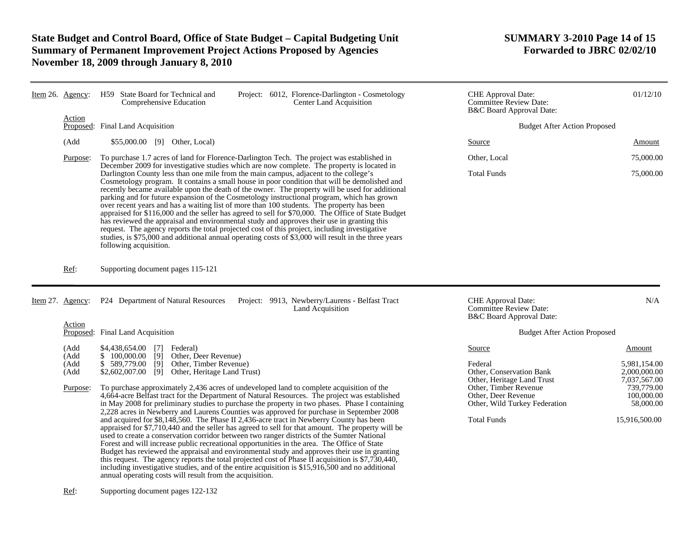# **State Budget and Control Board, Office of State Budget – Capital Budgeting Unit SUMMARY 3-2010 Page 14 of 15 Summary of Permanent Improvement Project Actions Proposed by Agencies November 18, 2009 through January 8, 2010**

|            | Item 26. Agency:             | H59 State Board for Technical and<br>Project: 6012, Florence-Darlington - Cosmetology<br><b>Center Land Acquisition</b><br>Comprehensive Education                                                                                                                                                                                                                                                                                                                                                                                                                                                                                                                                                                                                                                                                                                                                                                                                                                                                                                                                                                                                        | <b>CHE</b> Approval Date:<br><b>Committee Review Date:</b><br>B&C Board Approval Date: | 01/12/10                                               |  |
|------------|------------------------------|-----------------------------------------------------------------------------------------------------------------------------------------------------------------------------------------------------------------------------------------------------------------------------------------------------------------------------------------------------------------------------------------------------------------------------------------------------------------------------------------------------------------------------------------------------------------------------------------------------------------------------------------------------------------------------------------------------------------------------------------------------------------------------------------------------------------------------------------------------------------------------------------------------------------------------------------------------------------------------------------------------------------------------------------------------------------------------------------------------------------------------------------------------------|----------------------------------------------------------------------------------------|--------------------------------------------------------|--|
|            | Action<br>Proposed:          | Final Land Acquisition                                                                                                                                                                                                                                                                                                                                                                                                                                                                                                                                                                                                                                                                                                                                                                                                                                                                                                                                                                                                                                                                                                                                    | <b>Budget After Action Proposed</b>                                                    |                                                        |  |
|            | (Add                         | \$55,000.00 [9] Other, Local)                                                                                                                                                                                                                                                                                                                                                                                                                                                                                                                                                                                                                                                                                                                                                                                                                                                                                                                                                                                                                                                                                                                             | Source                                                                                 | Amount                                                 |  |
|            | Purpose:                     | To purchase 1.7 acres of land for Florence-Darlington Tech. The project was established in                                                                                                                                                                                                                                                                                                                                                                                                                                                                                                                                                                                                                                                                                                                                                                                                                                                                                                                                                                                                                                                                | Other, Local                                                                           | 75,000.00                                              |  |
|            |                              | December 2009 for investigative studies which are now complete. The property is located in<br>Darlington County less than one mile from the main campus, adjacent to the college's<br>Cosmetology program. It contains a small house in poor condition that will be demolished and<br>recently became available upon the death of the owner. The property will be used for additional<br>parking and for future expansion of the Cosmetology instructional program, which has grown<br>over recent years and has a waiting list of more than 100 students. The property has been<br>appraised for \$116,000 and the seller has agreed to sell for \$70,000. The Office of State Budget<br>has reviewed the appraisal and environmental study and approves their use in granting this<br>request. The agency reports the total projected cost of this project, including investigative<br>studies, is \$75,000 and additional annual operating costs of \$3,000 will result in the three years<br>following acquisition.                                                                                                                                   | <b>Total Funds</b>                                                                     | 75,000.00                                              |  |
|            | Ref:                         | Supporting document pages 115-121                                                                                                                                                                                                                                                                                                                                                                                                                                                                                                                                                                                                                                                                                                                                                                                                                                                                                                                                                                                                                                                                                                                         |                                                                                        |                                                        |  |
| Item $27.$ | Agency:                      | P24 Department of Natural Resources<br>Project: 9913, Newberry/Laurens - Belfast Tract<br>Land Acquisition                                                                                                                                                                                                                                                                                                                                                                                                                                                                                                                                                                                                                                                                                                                                                                                                                                                                                                                                                                                                                                                | CHE Approval Date:<br><b>Committee Review Date:</b><br>B&C Board Approval Date:        | N/A                                                    |  |
|            | Action<br>Proposed:          | Final Land Acquisition                                                                                                                                                                                                                                                                                                                                                                                                                                                                                                                                                                                                                                                                                                                                                                                                                                                                                                                                                                                                                                                                                                                                    | <b>Budget After Action Proposed</b>                                                    |                                                        |  |
|            | (Add<br>(Add<br>(Add<br>(Add | \$4,438,654.00<br>$\lceil 7 \rceil$<br>Federal)<br>\$100,000.00<br>[9]<br>Other, Deer Revenue)<br>\$589,779.00<br>$\overline{[9]}$<br>Other, Timber Revenue)<br>\$2,602,007.00<br>[9]<br>Other, Heritage Land Trust)                                                                                                                                                                                                                                                                                                                                                                                                                                                                                                                                                                                                                                                                                                                                                                                                                                                                                                                                      | Source<br>Federal<br>Other, Conservation Bank<br>Other, Heritage Land Trust            | Amount<br>5.981.154.00<br>2,000,000.00<br>7,037,567.00 |  |
|            | Purpose:                     | To purchase approximately 2,436 acres of undeveloped land to complete acquisition of the<br>4,664-acre Belfast tract for the Department of Natural Resources. The project was established<br>in May 2008 for preliminary studies to purchase the property in two phases. Phase I containing<br>2,228 acres in Newberry and Laurens Counties was approved for purchase in September 2008<br>and acquired for \$8,148,560. The Phase II 2,436-acre tract in Newberry County has been<br>appraised for \$7,710,440 and the seller has agreed to sell for that amount. The property will be<br>used to create a conservation corridor between two ranger districts of the Sumter National<br>Forest and will increase public recreational opportunities in the area. The Office of State<br>Budget has reviewed the appraisal and environmental study and approves their use in granting<br>this request. The agency reports the total projected cost of Phase II acquisition is \$7,730,440,<br>including investigative studies, and of the entire acquisition is \$15,916,500 and no additional<br>annual operating costs will result from the acquisition. | Other, Timber Revenue<br>Other, Deer Revenue<br>Other, Wild Turkey Federation          | 739,779.00<br>100,000.00<br>58,000.00                  |  |
|            |                              |                                                                                                                                                                                                                                                                                                                                                                                                                                                                                                                                                                                                                                                                                                                                                                                                                                                                                                                                                                                                                                                                                                                                                           | <b>Total Funds</b>                                                                     | 15,916,500.00                                          |  |

Ref: Supporting document pages 122-132